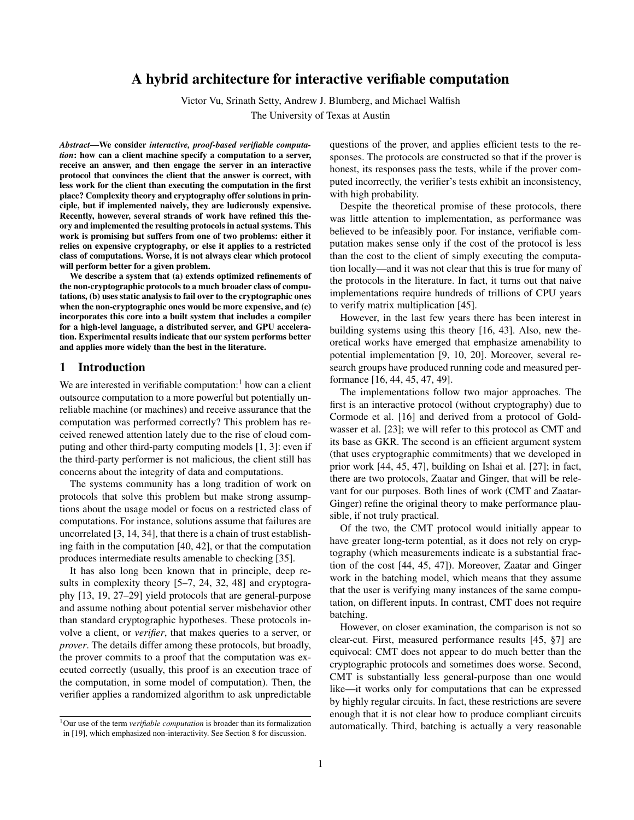# A hybrid architecture for interactive verifiable computation

Victor Vu, Srinath Setty, Andrew J. Blumberg, and Michael Walfish

The University of Texas at Austin

*Abstract*—We consider *interactive, proof-based verifiable computation*: how can a client machine specify a computation to a server, receive an answer, and then engage the server in an interactive protocol that convinces the client that the answer is correct, with less work for the client than executing the computation in the first place? Complexity theory and cryptography offer solutions in principle, but if implemented naively, they are ludicrously expensive. Recently, however, several strands of work have refined this theory and implemented the resulting protocols in actual systems. This work is promising but suffers from one of two problems: either it relies on expensive cryptography, or else it applies to a restricted class of computations. Worse, it is not always clear which protocol will perform better for a given problem.

We describe a system that (a) extends optimized refinements of the non-cryptographic protocols to a much broader class of computations, (b) uses static analysis to fail over to the cryptographic ones when the non-cryptographic ones would be more expensive, and (c) incorporates this core into a built system that includes a compiler for a high-level language, a distributed server, and GPU acceleration. Experimental results indicate that our system performs better and applies more widely than the best in the literature.

### <span id="page-0-0"></span>1 Introduction

We are interested in verifiable computation: $<sup>1</sup>$  how can a client</sup> outsource computation to a more powerful but potentially unreliable machine (or machines) and receive assurance that the computation was performed correctly? This problem has received renewed attention lately due to the rise of cloud computing and other third-party computing models [\[1,](#page-14-0) [3\]](#page-14-1): even if the third-party performer is not malicious, the client still has concerns about the integrity of data and computations.

The systems community has a long tradition of work on protocols that solve this problem but make strong assumptions about the usage model or focus on a restricted class of computations. For instance, solutions assume that failures are uncorrelated [\[3,](#page-14-1) [14,](#page-14-2) [34\]](#page-14-3), that there is a chain of trust establishing faith in the computation [\[40,](#page-14-4) [42\]](#page-14-5), or that the computation produces intermediate results amenable to checking [\[35\]](#page-14-6).

It has also long been known that in principle, deep results in complexity theory [\[5](#page-14-7)[–7,](#page-14-8) [24,](#page-14-9) [32,](#page-14-10) [48\]](#page-14-11) and cryptography [\[13,](#page-14-12) [19,](#page-14-13) [27](#page-14-14)[–29\]](#page-14-15) yield protocols that are general-purpose and assume nothing about potential server misbehavior other than standard cryptographic hypotheses. These protocols involve a client, or *verifier*, that makes queries to a server, or *prover*. The details differ among these protocols, but broadly, the prover commits to a proof that the computation was executed correctly (usually, this proof is an execution trace of the computation, in some model of computation). Then, the verifier applies a randomized algorithm to ask unpredictable questions of the prover, and applies efficient tests to the responses. The protocols are constructed so that if the prover is honest, its responses pass the tests, while if the prover computed incorrectly, the verifier's tests exhibit an inconsistency, with high probability.

Despite the theoretical promise of these protocols, there was little attention to implementation, as performance was believed to be infeasibly poor. For instance, verifiable computation makes sense only if the cost of the protocol is less than the cost to the client of simply executing the computation locally—and it was not clear that this is true for many of the protocols in the literature. In fact, it turns out that naive implementations require hundreds of trillions of CPU years to verify matrix multiplication [\[45\]](#page-14-16).

However, in the last few years there has been interest in building systems using this theory [\[16,](#page-14-17) [43\]](#page-14-18). Also, new theoretical works have emerged that emphasize amenability to potential implementation [\[9,](#page-14-19) [10,](#page-14-20) [20\]](#page-14-21). Moreover, several research groups have produced running code and measured performance [\[16,](#page-14-17) [44,](#page-14-22) [45,](#page-14-16) [47,](#page-14-23) [49\]](#page-14-24).

The implementations follow two major approaches. The first is an interactive protocol (without cryptography) due to Cormode et al. [\[16\]](#page-14-17) and derived from a protocol of Goldwasser et al. [\[23\]](#page-14-25); we will refer to this protocol as CMT and its base as GKR. The second is an efficient argument system (that uses cryptographic commitments) that we developed in prior work [\[44,](#page-14-22) [45,](#page-14-16) [47\]](#page-14-23), building on Ishai et al. [\[27\]](#page-14-14); in fact, there are two protocols, Zaatar and Ginger, that will be relevant for our purposes. Both lines of work (CMT and Zaatar-Ginger) refine the original theory to make performance plausible, if not truly practical.

Of the two, the CMT protocol would initially appear to have greater long-term potential, as it does not rely on cryptography (which measurements indicate is a substantial fraction of the cost [\[44,](#page-14-22) [45,](#page-14-16) [47\]](#page-14-23)). Moreover, Zaatar and Ginger work in the batching model, which means that they assume that the user is verifying many instances of the same computation, on different inputs. In contrast, CMT does not require batching.

However, on closer examination, the comparison is not so clear-cut. First, measured performance results [\[45,](#page-14-16) §7] are equivocal: CMT does not appear to do much better than the cryptographic protocols and sometimes does worse. Second, CMT is substantially less general-purpose than one would like—it works only for computations that can be expressed by highly regular circuits. In fact, these restrictions are severe enough that it is not clear how to produce compliant circuits automatically. Third, batching is actually a very reasonable

<sup>1</sup>Our use of the term *verifiable computation* is broader than its formalization in [\[19\]](#page-14-13), which emphasized non-interactivity. See Section [8](#page-11-0) for discussion.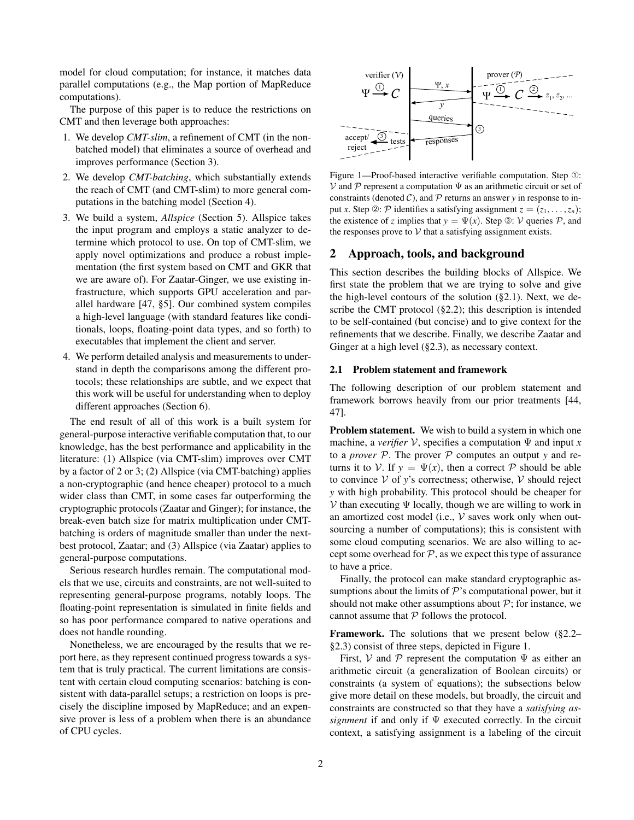model for cloud computation; for instance, it matches data parallel computations (e.g., the Map portion of MapReduce computations).

The purpose of this paper is to reduce the restrictions on CMT and then leverage both approaches:

- 1. We develop *CMT-slim*, a refinement of CMT (in the nonbatched model) that eliminates a source of overhead and improves performance (Section [3\)](#page-5-0).
- 2. We develop *CMT-batching*, which substantially extends the reach of CMT (and CMT-slim) to more general computations in the batching model (Section [4\)](#page-5-1).
- 3. We build a system, *Allspice* (Section [5\)](#page-7-0). Allspice takes the input program and employs a static analyzer to determine which protocol to use. On top of CMT-slim, we apply novel optimizations and produce a robust implementation (the first system based on CMT and GKR that we are aware of). For Zaatar-Ginger, we use existing infrastructure, which supports GPU acceleration and parallel hardware [\[47,](#page-14-23) §5]. Our combined system compiles a high-level language (with standard features like conditionals, loops, floating-point data types, and so forth) to executables that implement the client and server.
- 4. We perform detailed analysis and measurements to understand in depth the comparisons among the different protocols; these relationships are subtle, and we expect that this work will be useful for understanding when to deploy different approaches (Section [6\)](#page-8-0).

The end result of all of this work is a built system for general-purpose interactive verifiable computation that, to our knowledge, has the best performance and applicability in the literature: (1) Allspice (via CMT-slim) improves over CMT by a factor of 2 or 3; (2) Allspice (via CMT-batching) applies a non-cryptographic (and hence cheaper) protocol to a much wider class than CMT, in some cases far outperforming the cryptographic protocols (Zaatar and Ginger); for instance, the break-even batch size for matrix multiplication under CMTbatching is orders of magnitude smaller than under the nextbest protocol, Zaatar; and (3) Allspice (via Zaatar) applies to general-purpose computations.

Serious research hurdles remain. The computational models that we use, circuits and constraints, are not well-suited to representing general-purpose programs, notably loops. The floating-point representation is simulated in finite fields and so has poor performance compared to native operations and does not handle rounding.

Nonetheless, we are encouraged by the results that we report here, as they represent continued progress towards a system that is truly practical. The current limitations are consistent with certain cloud computing scenarios: batching is consistent with data-parallel setups; a restriction on loops is precisely the discipline imposed by MapReduce; and an expensive prover is less of a problem when there is an abundance of CPU cycles.



<span id="page-1-1"></span>Figure 1—Proof-based interactive verifiable computation. Step ➀:  $V$  and  $P$  represent a computation  $\Psi$  as an arithmetic circuit or set of constraints (denoted  $C$ ), and  $P$  returns an answer  $y$  in response to input *x*. Step ②: P identifies a satisfying assignment  $z = (z_1, \ldots, z_n)$ ; the existence of *z* implies that  $y = \Psi(x)$ . Step **③:** V queries P, and the responses prove to  $V$  that a satisfying assignment exists.

### 2 Approach, tools, and background

This section describes the building blocks of Allspice. We first state the problem that we are trying to solve and give the high-level contours of the solution  $(\S 2.1)$ . Next, we describe the CMT protocol ([§2.2\)](#page-2-0); this description is intended to be self-contained (but concise) and to give context for the refinements that we describe. Finally, we describe Zaatar and Ginger at a high level ([§2.3\)](#page-4-0), as necessary context.

### <span id="page-1-0"></span>2.1 Problem statement and framework

The following description of our problem statement and framework borrows heavily from our prior treatments [\[44,](#page-14-22) [47\]](#page-14-23).

Problem statement. We wish to build a system in which one machine, a *verifier*  $V$ , specifies a computation  $\Psi$  and input *x* to a *prover* P. The prover P computes an output *y* and returns it to V. If  $y = \Psi(x)$ , then a correct P should be able to convince  $V$  of *y*'s correctness; otherwise,  $V$  should reject *y* with high probability. This protocol should be cheaper for  $V$  than executing  $\Psi$  locally, though we are willing to work in an amortized cost model (i.e.,  $V$  saves work only when outsourcing a number of computations); this is consistent with some cloud computing scenarios. We are also willing to accept some overhead for  $P$ , as we expect this type of assurance to have a price.

Finally, the protocol can make standard cryptographic assumptions about the limits of  $P$ 's computational power, but it should not make other assumptions about  $P$ ; for instance, we cannot assume that  $P$  follows the protocol.

Framework. The solutions that we present below ([§2.2–](#page-2-0) [§2.3\)](#page-4-0) consist of three steps, depicted in Figure [1.](#page-1-1)

First, V and P represent the computation  $\Psi$  as either an arithmetic circuit (a generalization of Boolean circuits) or constraints (a system of equations); the subsections below give more detail on these models, but broadly, the circuit and constraints are constructed so that they have a *satisfying assignment* if and only if Ψ executed correctly. In the circuit context, a satisfying assignment is a labeling of the circuit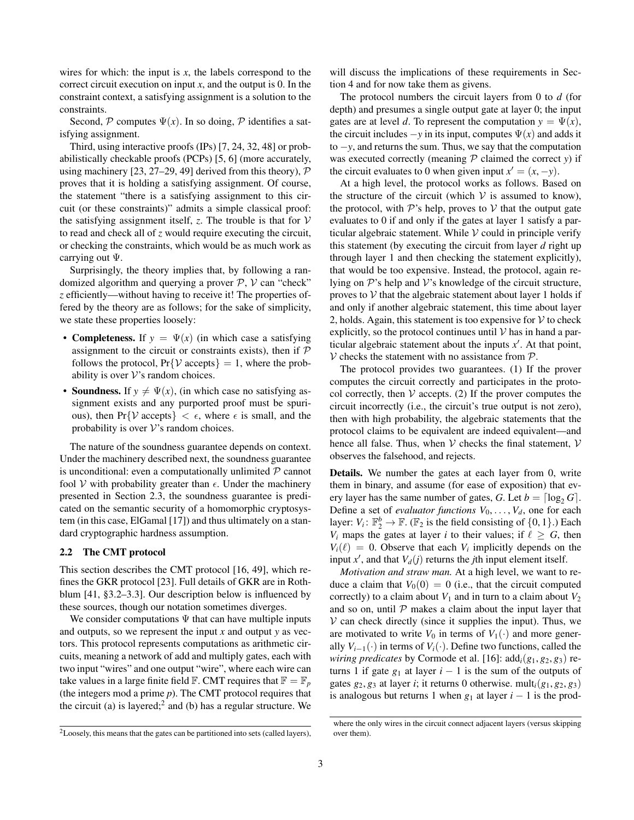wires for which: the input is  $x$ , the labels correspond to the correct circuit execution on input  $x$ , and the output is 0. In the constraint context, a satisfying assignment is a solution to the constraints.

Second, P computes  $\Psi(x)$ . In so doing, P identifies a satisfying assignment.

Third, using interactive proofs (IPs) [\[7,](#page-14-8) [24,](#page-14-9) [32,](#page-14-10) [48\]](#page-14-11) or probabilistically checkable proofs (PCPs) [\[5,](#page-14-7) [6\]](#page-14-26) (more accurately, using machinery [\[23,](#page-14-25) [27–](#page-14-14)[29,](#page-14-15) [49\]](#page-14-24) derived from this theory),  $\mathcal P$ proves that it is holding a satisfying assignment. Of course, the statement "there is a satisfying assignment to this circuit (or these constraints)" admits a simple classical proof: the satisfying assignment itself,  $z$ . The trouble is that for  $V$ to read and check all of *z* would require executing the circuit, or checking the constraints, which would be as much work as carrying out Ψ.

Surprisingly, the theory implies that, by following a randomized algorithm and querying a prover  $P$ ,  $V$  can "check" *z* efficiently—without having to receive it! The properties offered by the theory are as follows; for the sake of simplicity, we state these properties loosely:

- **Completeness.** If  $y = \Psi(x)$  (in which case a satisfying assignment to the circuit or constraints exists), then if  $P$ follows the protocol,  $Pr\{V \text{ accepts}\} = 1$ , where the probability is over  $V$ 's random choices.
- **Soundness.** If  $y \neq \Psi(x)$ , (in which case no satisfying assignment exists and any purported proof must be spurious), then Pr{V accepts}  $\langle \epsilon, \text{ where } \epsilon \text{ is small, and the} \rangle$ probability is over  $\mathcal V$ 's random choices.

The nature of the soundness guarantee depends on context. Under the machinery described next, the soundness guarantee is unconditional: even a computationally unlimited  $P$  cannot fool V with probability greater than  $\epsilon$ . Under the machinery presented in Section [2.3,](#page-4-0) the soundness guarantee is predicated on the semantic security of a homomorphic cryptosystem (in this case, ElGamal [\[17\]](#page-14-27)) and thus ultimately on a standard cryptographic hardness assumption.

# <span id="page-2-0"></span>2.2 The CMT protocol

This section describes the CMT protocol [\[16,](#page-14-17) [49\]](#page-14-24), which refines the GKR protocol [\[23\]](#page-14-25). Full details of GKR are in Rothblum [\[41,](#page-14-28) §3.2–3.3]. Our description below is influenced by these sources, though our notation sometimes diverges.

We consider computations  $\Psi$  that can have multiple inputs and outputs, so we represent the input *x* and output *y* as vectors. This protocol represents computations as arithmetic circuits, meaning a network of add and multiply gates, each with two input "wires" and one output "wire", where each wire can take values in a large finite field  $\mathbb{F}$ . CMT requires that  $\mathbb{F} = \mathbb{F}_p$ (the integers mod a prime *p*). The CMT protocol requires that the circuit (a) is layered;<sup>2</sup> and (b) has a regular structure. We

<sup>2</sup>Loosely, this means that the gates can be partitioned into sets (called layers),

will discuss the implications of these requirements in Section [4](#page-5-1) and for now take them as givens.

The protocol numbers the circuit layers from 0 to *d* (for depth) and presumes a single output gate at layer 0; the input gates are at level *d*. To represent the computation  $y = \Psi(x)$ , the circuit includes  $-y$  in its input, computes  $\Psi(x)$  and adds it to −*y*, and returns the sum. Thus, we say that the computation was executed correctly (meaning  $P$  claimed the correct  $y$ ) if the circuit evaluates to 0 when given input  $x' = (x, -y)$ .

At a high level, the protocol works as follows. Based on the structure of the circuit (which  $V$  is assumed to know), the protocol, with  $\mathcal{P}$ 's help, proves to  $\mathcal V$  that the output gate evaluates to 0 if and only if the gates at layer 1 satisfy a particular algebraic statement. While  $V$  could in principle verify this statement (by executing the circuit from layer *d* right up through layer 1 and then checking the statement explicitly), that would be too expensive. Instead, the protocol, again relying on  $\mathcal{P}$ 's help and  $\mathcal{V}$ 's knowledge of the circuit structure, proves to  $V$  that the algebraic statement about layer 1 holds if and only if another algebraic statement, this time about layer 2, holds. Again, this statement is too expensive for  $V$  to check explicitly, so the protocol continues until  $V$  has in hand a particular algebraic statement about the inputs  $x'$ . At that point,  $V$  checks the statement with no assistance from  $P$ .

The protocol provides two guarantees. (1) If the prover computes the circuit correctly and participates in the protocol correctly, then  $V$  accepts. (2) If the prover computes the circuit incorrectly (i.e., the circuit's true output is not zero), then with high probability, the algebraic statements that the protocol claims to be equivalent are indeed equivalent—and hence all false. Thus, when  $V$  checks the final statement,  $V$ observes the falsehood, and rejects.

Details. We number the gates at each layer from 0, write them in binary, and assume (for ease of exposition) that every layer has the same number of gates, *G*. Let  $b = \lceil \log_2 G \rceil$ . Define a set of *evaluator functions*  $V_0, \ldots, V_d$ , one for each layer:  $V_i: \mathbb{F}_2^b \to \mathbb{F}$ . ( $\mathbb{F}_2$  is the field consisting of  $\{0, 1\}$ .) Each *V*<sub>i</sub> maps the gates at layer *i* to their values; if  $\ell \geq G$ , then  $V_i(\ell) = 0$ . Observe that each  $V_i$  implicitly depends on the input  $x'$ , and that  $V_d(j)$  returns the *j*th input element itself.

*Motivation and straw man.* At a high level, we want to reduce a claim that  $V_0(0) = 0$  (i.e., that the circuit computed correctly) to a claim about  $V_1$  and in turn to a claim about  $V_2$ and so on, until  $P$  makes a claim about the input layer that  $V$  can check directly (since it supplies the input). Thus, we are motivated to write  $V_0$  in terms of  $V_1(\cdot)$  and more generally  $V_{i-1}(\cdot)$  in terms of  $V_i(\cdot)$ . Define two functions, called the *wiring predicates* by Cormode et al. [\[16\]](#page-14-17):  $\text{add}_i(g_1, g_2, g_3)$  returns 1 if gate  $g_1$  at layer  $i - 1$  is the sum of the outputs of gates  $g_2$ ,  $g_3$  at layer *i*; it returns 0 otherwise. mult<sub>*i*</sub>( $g_1$ ,  $g_2$ ,  $g_3$ ) is analogous but returns 1 when  $g_1$  at layer  $i - 1$  is the prod-

where the only wires in the circuit connect adjacent layers (versus skipping over them).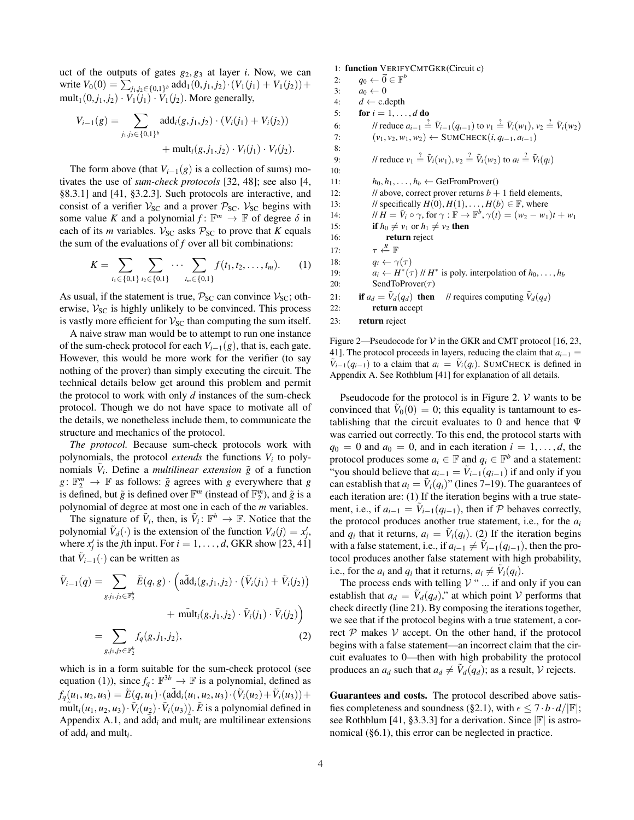uct of the outputs of gates  $g_2, g_3$  at layer *i*. Now, we can  $\text{write } V_0(0) = \sum_{j_1, j_2 \in \{0, 1\}^b} \text{add}_1(0, j_1, j_2) \cdot (V_1(j_1) + V_1(j_2)) +$ mult<sub>1</sub>(0, *j*<sub>1</sub>, *j*<sub>2</sub>) · *V*<sub>1</sub>(*j*<sub>1</sub>) · *V*<sub>1</sub>(*j*<sub>2</sub>). More generally,

$$
V_{i-1}(g) = \sum_{j_1, j_2 \in \{0, 1\}^b} \text{add}_i(g, j_1, j_2) \cdot (V_i(j_1) + V_i(j_2)) + \text{mult}_i(g, j_1, j_2) \cdot V_i(j_1) \cdot V_i(j_2).
$$

The form above (that  $V_{i-1}(g)$  is a collection of sums) motivates the use of *sum-check protocols* [\[32,](#page-14-10) [48\]](#page-14-11); see also [\[4,](#page-14-29) §8.3.1] and [\[41,](#page-14-28) §3.2.3]. Such protocols are interactive, and consist of a verifier  $V_{SC}$  and a prover  $P_{SC}$ .  $V_{SC}$  begins with some value *K* and a polynomial  $f: \mathbb{F}^m \to \mathbb{F}$  of degree  $\delta$  in each of its *m* variables.  $V_{SC}$  asks  $P_{SC}$  to prove that *K* equals the sum of the evaluations of *f* over all bit combinations:

$$
K = \sum_{t_1 \in \{0,1\}} \sum_{t_2 \in \{0,1\}} \cdots \sum_{t_m \in \{0,1\}} f(t_1, t_2, \ldots, t_m). \tag{1}
$$

As usual, if the statement is true,  $P_{SC}$  can convince  $V_{SC}$ ; otherwise,  $V_{SC}$  is highly unlikely to be convinced. This process is vastly more efficient for  $V_{SC}$  than computing the sum itself.

A naive straw man would be to attempt to run one instance of the sum-check protocol for each  $V_{i-1}(g)$ , that is, each gate. However, this would be more work for the verifier (to say nothing of the prover) than simply executing the circuit. The technical details below get around this problem and permit the protocol to work with only *d* instances of the sum-check protocol. Though we do not have space to motivate all of the details, we nonetheless include them, to communicate the structure and mechanics of the protocol.

*The protocol.* Because sum-check protocols work with polynomials, the protocol *extends* the functions  $V_i$  to polynomials  $\tilde{V}_i$ . Define a *multilinear extension*  $\tilde{g}$  of a function  $g: \mathbb{F}_2^m \to \mathbb{F}$  as follows:  $\tilde{g}$  agrees with *g* everywhere that *g* is defined, but  $\tilde{g}$  is defined over  $\mathbb{F}^m$  (instead of  $\mathbb{F}_2^m$ ), and  $\tilde{g}$  is a polynomial of degree at most one in each of the *m* variables.

The signature of  $\tilde{V}_i$ , then, is  $\tilde{V}_i: \mathbb{F}^b \to \mathbb{F}$ . Notice that the polynomial  $\tilde{V}_d(\cdot)$  is the extension of the function  $V_d(j) = x'_j$ , where  $x'_j$  is the *j*th input. For  $i = 1, \ldots, d$ , GKR show [\[23,](#page-14-25) [41\]](#page-14-28) that  $\tilde{V}_{i-1}(\cdot)$  can be written as

$$
\tilde{V}_{i-1}(q) = \sum_{g,j_1,j_2 \in \mathbb{F}_2^b} \tilde{E}(q,g) \cdot \left( \tilde{\text{add}}_i(g,j_1,j_2) \cdot (\tilde{V}_i(j_1) + \tilde{V}_i(j_2)) + \tilde{\text{mult}}_i(g,j_1,j_2) \cdot \tilde{V}_i(j_1) \cdot \tilde{V}_i(j_2) \right) \n= \sum_{g,j_1,j_2 \in \mathbb{F}_2^b} f_q(g,j_1,j_2),
$$
\n(2)

which is in a form suitable for the sum-check protocol (see equation [\(1\)](#page-3-0)), since  $f_q: \mathbb{F}^{3b} \to \mathbb{F}$  is a polynomial, defined as  $f_q(u_1, u_2, u_3) = \tilde{E}(q, u_1) \cdot (\tilde{\text{add}}_i(u_1, u_2, u_3) \cdot (\tilde{V}_i(u_2) + \tilde{V}_i(u_3)) + \tilde{V}_i(u_3)$  $\widetilde{m}$ ult<sub>*i*</sub>(*u*<sub>1</sub>, *u*<sub>2</sub>, *u*<sub>3</sub>) ·  $\widetilde{V}_i(u_2) \cdot \widetilde{V}_i(u_3)$ ).  $\widetilde{E}$  is a polynomial defined in Appendix [A.1,](#page-12-0) and  $\tilde{\text{add}}_i$  and mult<sub>i</sub> are multilinear extensions of add*<sup>i</sup>* and mult*<sup>i</sup>* .

1: function VERIFYCMTGKR(Circuit c) 2:  $q_0 \leftarrow \vec{0} \in \mathbb{F}^b$ 3:  $a_0 \leftarrow 0$ <br>4:  $d \leftarrow c.c$  $d \leftarrow c$ .depth 5: **for**  $i = 1, \ldots, d$  **do** 6: *//* reduce  $a_{i-1} \stackrel{?}{=} \tilde{V}_{i-1}(q_{i-1})$  to  $v_1 \stackrel{?}{=} \tilde{V}_i(w_1)$ ,  $v_2 \stackrel{?}{=} \tilde{V}_i(w_2)$ 7:  $(v_1, v_2, w_1, w_2)$  ← SUMCHECK $(i, q_{i-1}, a_{i-1})$ 8: 9: *Il* reduce  $v_1 \stackrel{?}{=} \tilde{V}_i(w_1), v_2 \stackrel{?}{=} \tilde{V}_i(w_2)$  to  $a_i \stackrel{?}{=} \tilde{V}_i(q_i)$ 10: 11:  $h_0, h_1, \ldots, h_b \leftarrow \text{GetFromProver}()$ 12: // above, correct prover returns  $b + 1$  field elements, 13: // specifically  $H(0), H(1), \ldots, H(b) \in \mathbb{F}$ , where 14:  $\mathcal{W} H = \tilde{V}_i \circ \gamma$ , for  $\gamma : \mathbb{F} \to \mathbb{F}^b$ ,  $\gamma(t) = (w_2 - w_1)t + w_1$ 15: **if**  $h_0 \neq v_1$  or  $h_1 \neq v_2$  then 16: return reject  $17:$  $\tau \overset{R}{\leftarrow} \mathbb{F}$ 18:  $q_i \leftarrow \gamma(\tau)$ 19:  $a_i \leftarrow H^*(\tau) \mid H^*$  is poly. interpolation of  $h_0, \ldots, h_b$ 20: SendToProver( $\tau$ ) 21: if  $a_d = \tilde{V}_d(q_d)$  then // requires computing  $\tilde{V}_d(q_d)$ 22: return accept 23: return reject

<span id="page-3-1"></span><span id="page-3-0"></span>Figure 2—Pseudocode for  $V$  in the GKR and CMT protocol [\[16,](#page-14-17) [23,](#page-14-25) [41\]](#page-14-28). The protocol proceeds in layers, reducing the claim that  $a_{i-1} =$  $\tilde{V}_{i-1}(q_{i-1})$  to a claim that  $a_i = \tilde{V}_i(q_i)$ . SUMCHECK is defined in Appendix [A.](#page-12-1) See Rothblum [\[41\]](#page-14-28) for explanation of all details.

Pseudocode for the protocol is in Figure [2.](#page-3-1)  $\mathcal V$  wants to be convinced that  $V_0(0) = 0$ ; this equality is tantamount to establishing that the circuit evaluates to 0 and hence that  $\Psi$ was carried out correctly. To this end, the protocol starts with  $q_0 = 0$  and  $a_0 = 0$ , and in each iteration  $i = 1, \ldots, d$ , the protocol produces some  $a_i \in \mathbb{F}$  and  $q_i \in \mathbb{F}^b$  and a statement: "you should believe that  $a_{i-1} = \tilde{V}_{i-1}(q_{i-1})$  if and only if you can establish that  $a_i = \tilde{V}_i(q_i)$ " (lines [7–19\)](#page-3-0). The guarantees of each iteration are: (1) If the iteration begins with a true statement, i.e., if  $a_{i-1} = \tilde{V}_{i-1}(q_{i-1})$ , then if  $P$  behaves correctly, the protocol produces another true statement, i.e., for the *a<sup>i</sup>* and  $q_i$  that it returns,  $a_i = \tilde{V}_i(q_i)$ . (2) If the iteration begins with a false statement, i.e., if  $a_{i-1} \neq \tilde{V}_{i-1}(q_{i-1})$ , then the protocol produces another false statement with high probability, i.e., for the  $a_i$  and  $q_i$  that it returns,  $a_i \neq \tilde{V}_i(q_i)$ .

<span id="page-3-2"></span>The process ends with telling  $V$  " ... if and only if you can establish that  $a_d = \tilde{V}_d(q_d)$ ," at which point V performs that check directly (line [21\)](#page-3-0). By composing the iterations together, we see that if the protocol begins with a true statement, a correct  $P$  makes  $V$  accept. On the other hand, if the protocol begins with a false statement—an incorrect claim that the circuit evaluates to 0—then with high probability the protocol produces an  $a_d$  such that  $a_d \neq \tilde{V}_d(q_d)$ ; as a result,  $\cal{V}$  rejects.

Guarantees and costs. The protocol described above satis-fies completeness and soundness ([§2.1\)](#page-1-0), with  $\epsilon \leq 7 \cdot b \cdot d / |\mathbb{F}|$ ; see Rothblum [\[41,](#page-14-28) §3.3.3] for a derivation. Since  $|\mathbb{F}|$  is astronomical ([§6.1\)](#page-8-1), this error can be neglected in practice.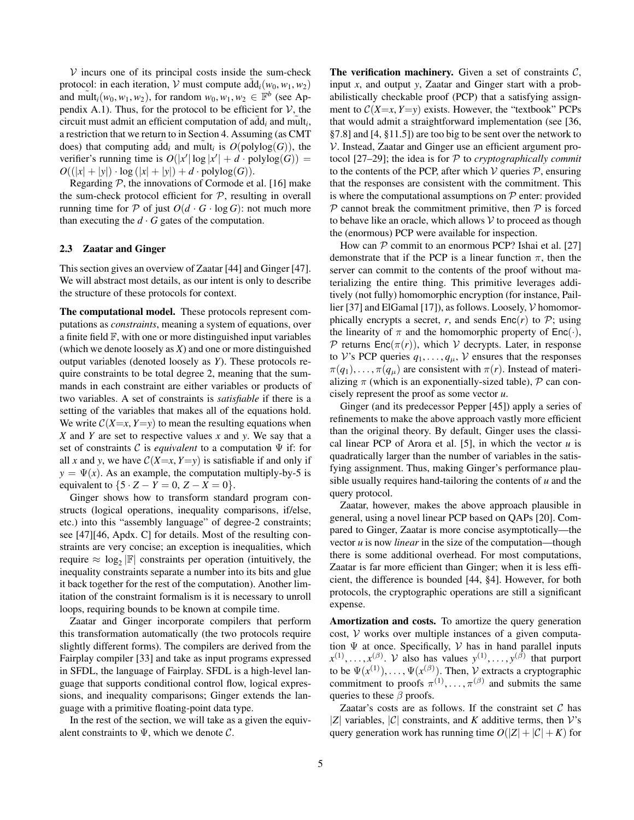$V$  incurs one of its principal costs inside the sum-check protocol: in each iteration,  $V$  must compute  $\text{add}_i(w_0, w_1, w_2)$ and  $\text{mult}_i(w_0, w_1, w_2)$ , for random  $w_0, w_1, w_2 \in \mathbb{F}^b$  (see Ap-pendix [A.1\)](#page-12-0). Thus, for the protocol to be efficient for  $V$ , the circuit must admit an efficient computation of  $\tilde{\text{add}}_i$  and  $\tilde{\text{mult}}_i$ , a restriction that we return to in Section [4.](#page-5-1) Assuming (as CMT does) that computing  $\tilde{\text{add}}_i$  and  $\text{mult}_i$  is  $O(\text{polylog}(G))$ , the verifier's running time is  $O(|x'|\log|x'| + d \cdot \text{polylog}(G)) =$  $O((|x| + |y|) \cdot \log(|x| + |y|) + d \cdot \text{polylog}(G)).$ 

Regarding  $P$ , the innovations of Cormode et al. [\[16\]](#page-14-17) make the sum-check protocol efficient for  $P$ , resulting in overall running time for  $P$  of just  $O(d \cdot G \cdot \log G)$ : not much more than executing the  $d \cdot G$  gates of the computation.

### <span id="page-4-0"></span>2.3 Zaatar and Ginger

This section gives an overview of Zaatar [\[44\]](#page-14-22) and Ginger [\[47\]](#page-14-23). We will abstract most details, as our intent is only to describe the structure of these protocols for context.

The computational model. These protocols represent computations as *constraints*, meaning a system of equations, over a finite field F, with one or more distinguished input variables (which we denote loosely as *X*) and one or more distinguished output variables (denoted loosely as *Y*). These protocols require constraints to be total degree 2, meaning that the summands in each constraint are either variables or products of two variables. A set of constraints is *satisfiable* if there is a setting of the variables that makes all of the equations hold. We write  $C(X=x, Y=y)$  to mean the resulting equations when *X* and *Y* are set to respective values *x* and *y*. We say that a set of constraints C is *equivalent* to a computation Ψ if: for all *x* and *y*, we have  $C(X=x, Y=y)$  is satisfiable if and only if  $y = \Psi(x)$ . As an example, the computation multiply-by-5 is equivalent to  ${5 \cdot Z - Y = 0, Z - X = 0}.$ 

Ginger shows how to transform standard program constructs (logical operations, inequality comparisons, if/else, etc.) into this "assembly language" of degree-2 constraints; see [\[47\]](#page-14-23)[\[46,](#page-14-30) Apdx. C] for details. Most of the resulting constraints are very concise; an exception is inequalities, which require  $\approx \log_2 |\mathbb{F}|$  constraints per operation (intuitively, the inequality constraints separate a number into its bits and glue it back together for the rest of the computation). Another limitation of the constraint formalism is it is necessary to unroll loops, requiring bounds to be known at compile time.

Zaatar and Ginger incorporate compilers that perform this transformation automatically (the two protocols require slightly different forms). The compilers are derived from the Fairplay compiler [\[33\]](#page-14-31) and take as input programs expressed in SFDL, the language of Fairplay. SFDL is a high-level language that supports conditional control flow, logical expressions, and inequality comparisons; Ginger extends the language with a primitive floating-point data type.

In the rest of the section, we will take as a given the equivalent constraints to  $\Psi$ , which we denote  $\mathcal{C}$ .

The verification machinery. Given a set of constraints  $C$ , input *x*, and output *y*, Zaatar and Ginger start with a probabilistically checkable proof (PCP) that a satisfying assignment to  $C(X=x, Y=y)$  exists. However, the "textbook" PCPs that would admit a straightforward implementation (see [\[36,](#page-14-32) §7.8] and [\[4,](#page-14-29) §11.5]) are too big to be sent over the network to V. Instead, Zaatar and Ginger use an efficient argument protocol [\[27–](#page-14-14)[29\]](#page-14-15); the idea is for P to *cryptographically commit* to the contents of the PCP, after which  $V$  queries  $P$ , ensuring that the responses are consistent with the commitment. This is where the computational assumptions on  $P$  enter: provided  $P$  cannot break the commitment primitive, then  $P$  is forced to behave like an oracle, which allows  $V$  to proceed as though the (enormous) PCP were available for inspection.

How can  $P$  commit to an enormous PCP? Ishai et al. [\[27\]](#page-14-14) demonstrate that if the PCP is a linear function  $\pi$ , then the server can commit to the contents of the proof without materializing the entire thing. This primitive leverages additively (not fully) homomorphic encryption (for instance, Pail-lier [\[37\]](#page-14-33) and ElGamal [\[17\]](#page-14-27)), as follows. Loosely,  $\mathcal V$  homomorphically encrypts a secret,  $r$ , and sends  $Enc(r)$  to  $P$ ; using the linearity of  $\pi$  and the homomorphic property of Enc(·), P returns Enc $(\pi(r))$ , which V decrypts. Later, in response to V's PCP queries  $q_1, \ldots, q_\mu$ , V ensures that the responses  $\pi(q_1), \ldots, \pi(q_\mu)$  are consistent with  $\pi(r)$ . Instead of materializing  $\pi$  (which is an exponentially-sized table),  $\mathcal P$  can concisely represent the proof as some vector *u*.

Ginger (and its predecessor Pepper [\[45\]](#page-14-16)) apply a series of refinements to make the above approach vastly more efficient than the original theory. By default, Ginger uses the classical linear PCP of Arora et al. [\[5\]](#page-14-7), in which the vector *u* is quadratically larger than the number of variables in the satisfying assignment. Thus, making Ginger's performance plausible usually requires hand-tailoring the contents of *u* and the query protocol.

Zaatar, however, makes the above approach plausible in general, using a novel linear PCP based on QAPs [\[20\]](#page-14-21). Compared to Ginger, Zaatar is more concise asymptotically—the vector *u* is now *linear* in the size of the computation—though there is some additional overhead. For most computations, Zaatar is far more efficient than Ginger; when it is less efficient, the difference is bounded [\[44,](#page-14-22) §4]. However, for both protocols, the cryptographic operations are still a significant expense.

Amortization and costs. To amortize the query generation cost,  $V$  works over multiple instances of a given computation  $\Psi$  at once. Specifically,  $V$  has in hand parallel inputs  $x^{(1)}, \ldots, x^{(\beta)}$ . *V* also has values  $y^{(1)}, \ldots, y^{(\beta)}$  that purport to be  $\Psi(x^{(1)}), \ldots, \Psi(x^{(\beta)})$ . Then, V extracts a cryptographic commitment to proofs  $\pi^{(1)}, \ldots, \pi^{(\beta)}$  and submits the same queries to these  $\beta$  proofs.

Zaatar's costs are as follows. If the constraint set  $C$  has |*Z*| variables,  $|C|$  constraints, and *K* additive terms, then *V*'s query generation work has running time  $O(|Z| + |\mathcal{C}| + K)$  for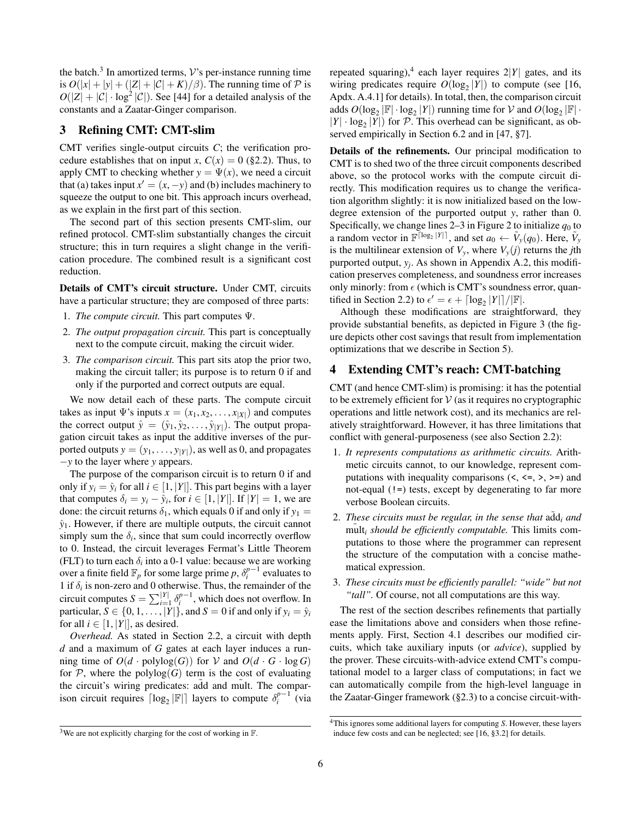the batch.<sup>3</sup> In amortized terms,  $V$ 's per-instance running time is  $O(|x| + |y| + (|Z| + |\mathcal{C}| + K)/\beta)$ . The running time of  $\mathcal P$  is  $O(|Z| + |\mathcal{C}| \cdot \log^2 |\mathcal{C}|)$ . See [\[44\]](#page-14-22) for a detailed analysis of the constants and a Zaatar-Ginger comparison.

# <span id="page-5-0"></span>3 Refining CMT: CMT-slim

CMT verifies single-output circuits *C*; the verification procedure establishes that on input *x*,  $C(x) = 0$  ([§2.2\)](#page-2-0). Thus, to apply CMT to checking whether  $y = \Psi(x)$ , we need a circuit that (a) takes input  $x' = (x, -y)$  and (b) includes machinery to squeeze the output to one bit. This approach incurs overhead, as we explain in the first part of this section.

The second part of this section presents CMT-slim, our refined protocol. CMT-slim substantially changes the circuit structure; this in turn requires a slight change in the verification procedure. The combined result is a significant cost reduction.

Details of CMT's circuit structure. Under CMT, circuits have a particular structure; they are composed of three parts:

- 1. *The compute circuit.* This part computes Ψ.
- 2. *The output propagation circuit.* This part is conceptually next to the compute circuit, making the circuit wider.
- 3. *The comparison circuit.* This part sits atop the prior two, making the circuit taller; its purpose is to return 0 if and only if the purported and correct outputs are equal.

We now detail each of these parts. The compute circuit takes as input  $\Psi$ 's inputs  $x = (x_1, x_2, \dots, x_{|X|})$  and computes the correct output  $\hat{y} = (\hat{y}_1, \hat{y}_2, \dots, \hat{y}_{|Y|})$ . The output propagation circuit takes as input the additive inverses of the purported outputs  $y = (y_1, \ldots, y_{|Y|})$ , as well as 0, and propagates −*y* to the layer where *y* appears.

The purpose of the comparison circuit is to return 0 if and only if  $y_i = \hat{y}_i$  for all  $i \in [1, |Y|]$ . This part begins with a layer that computes  $\delta_i = y_i - \hat{y}_i$ , for  $i \in [1, |Y|]$ . If  $|Y| = 1$ , we are done: the circuit returns  $\delta_1$ , which equals 0 if and only if  $y_1$  =  $\hat{y}_1$ . However, if there are multiple outputs, the circuit cannot simply sum the  $\delta_i$ , since that sum could incorrectly overflow to 0. Instead, the circuit leverages Fermat's Little Theorem (FLT) to turn each  $\delta_i$  into a 0-1 value: because we are working over a finite field  $\mathbb{F}_p$  for some large prime *p*,  $\delta_i^{p-1}$  evaluates to 1 if  $\delta_i$  is non-zero and 0 otherwise. Thus, the remainder of the circuit computes  $S = \sum_{i=1}^{|Y|} \delta_i^{p-1}$ , which does not overflow. In particular,  $S \in \{0, 1, ..., |Y|\}$ , and  $S = 0$  if and only if  $y_i = \hat{y}_i$ for all  $i \in [1, |Y|]$ , as desired.

*Overhead.* As stated in Section [2.2,](#page-2-0) a circuit with depth *d* and a maximum of *G* gates at each layer induces a running time of  $O(d \cdot \text{polylog}(G))$  for V and  $O(d \cdot G \cdot \log G)$ for  $P$ , where the polylog(*G*) term is the cost of evaluating the circuit's wiring predicates: add and mult. The comparison circuit requires  $\lceil \log_2 |\mathbb{F}| \rceil$  layers to compute  $\delta_i^{p-1}$  (via

repeated squaring),<sup>4</sup> each layer requires  $2|Y|$  gates, and its wiring predicates require  $O(\log_2 |Y|)$  to compute (see [\[16,](#page-14-17) Apdx. A.4.1] for details). In total, then, the comparison circuit adds  $O(\log_2 |\mathbb{F}| \cdot \log_2 |Y|)$  running time for  $V$  and  $O(\log_2 |\mathbb{F}| \cdot$  $|Y| \cdot \log_2 |Y|$  for P. This overhead can be significant, as observed empirically in Section [6.2](#page-9-0) and in [\[47,](#page-14-23) §7].

Details of the refinements. Our principal modification to CMT is to shed two of the three circuit components described above, so the protocol works with the compute circuit directly. This modification requires us to change the verification algorithm slightly: it is now initialized based on the lowdegree extension of the purported output *y*, rather than 0. Specifically, we change lines  $2-3$  in Figure [2](#page-3-1) to initialize  $q_0$  to a random vector in  $\mathbb{F}^{\lceil \log_2 |Y| \rceil}$ , and set  $a_0 \leftarrow \tilde{V}_y(q_0)$ . Here,  $\tilde{V}_y$ is the multilinear extension of  $V_y$ , where  $V_y(j)$  returns the *j*th purported output, *y<sup>j</sup>* . As shown in Appendix [A.2,](#page-13-0) this modification preserves completeness, and soundness error increases only minorly: from  $\epsilon$  (which is CMT's soundness error, quan-tified in Section [2.2\)](#page-2-0) to  $\epsilon' = \epsilon + \lceil \log_2 |Y| \rceil / |\mathbb{F}|$ .

Although these modifications are straightforward, they provide substantial benefits, as depicted in Figure [3](#page-6-0) (the figure depicts other cost savings that result from implementation optimizations that we describe in Section [5\)](#page-7-0).

# <span id="page-5-1"></span>4 Extending CMT's reach: CMT-batching

CMT (and hence CMT-slim) is promising: it has the potential to be extremely efficient for  $V$  (as it requires no cryptographic operations and little network cost), and its mechanics are relatively straightforward. However, it has three limitations that conflict with general-purposeness (see also Section [2.2\)](#page-2-0):

- 1. *It represents computations as arithmetic circuits.* Arithmetic circuits cannot, to our knowledge, represent computations with inequality comparisons  $(<, <=, >, >=)$  and not-equal (!=) tests, except by degenerating to far more verbose Boolean circuits.
- 2. *These circuits must be regular, in the sense that*  $\frac{a}{d}$  *and*  $\tilde{m}$ ult<sub>i</sub> should be efficiently computable. This limits computations to those where the programmer can represent the structure of the computation with a concise mathematical expression.
- 3. *These circuits must be efficiently parallel: "wide" but not "tall".* Of course, not all computations are this way.

The rest of the section describes refinements that partially ease the limitations above and considers when those refinements apply. First, Section [4.1](#page-6-1) describes our modified circuits, which take auxiliary inputs (or *advice*), supplied by the prover. These circuits-with-advice extend CMT's computational model to a larger class of computations; in fact we can automatically compile from the high-level language in the Zaatar-Ginger framework ([§2.3\)](#page-4-0) to a concise circuit-with-

<sup>&</sup>lt;sup>3</sup>We are not explicitly charging for the cost of working in  $\mathbb{F}$ .

<sup>4</sup>This ignores some additional layers for computing *S*. However, these layers induce few costs and can be neglected; see [\[16,](#page-14-17) §3.2] for details.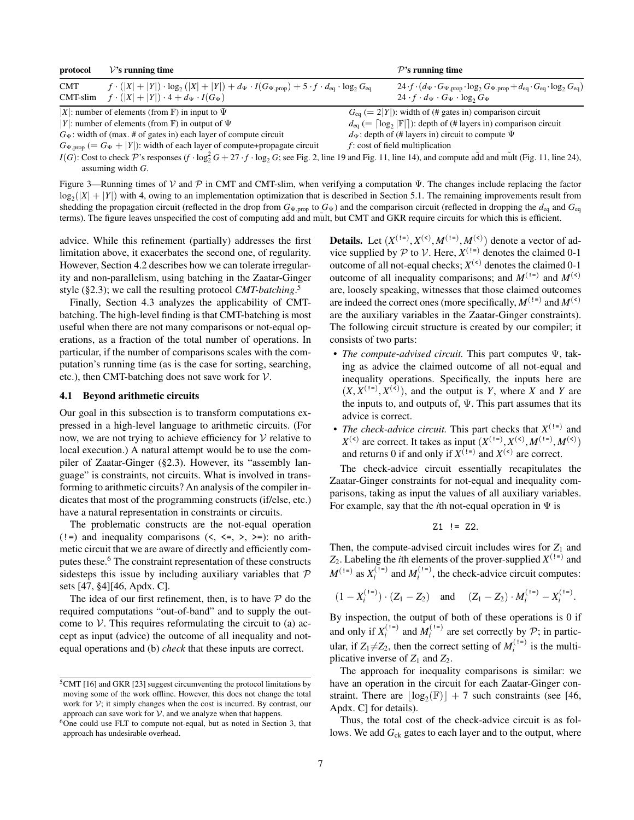| protocol               | $\mathcal{V}$ 's running time                                                                                                                                                                                                                                                                                                                                                                                          | $\mathcal{P}$ 's running time                                                                                                                                                                                             |
|------------------------|------------------------------------------------------------------------------------------------------------------------------------------------------------------------------------------------------------------------------------------------------------------------------------------------------------------------------------------------------------------------------------------------------------------------|---------------------------------------------------------------------------------------------------------------------------------------------------------------------------------------------------------------------------|
| <b>CMT</b><br>CMT-slim | $f \cdot ( X  +  Y ) \cdot \log_2( X  +  Y ) + d_{\Psi} \cdot I(G_{\Psi, \text{prop}}) + 5 \cdot f \cdot d_{\text{eq}} \cdot \log_2 G_{\text{eq}}$<br>$f \cdot ( X  +  Y ) \cdot 4 + d_{\Psi} \cdot I(G_{\Psi})$                                                                                                                                                                                                       | 24 $f \cdot (d_{\Psi} \cdot G_{\Psi, \text{prop}} \cdot \log_2 G_{\Psi, \text{prop}} + d_{\text{eq}} \cdot G_{\text{eq}} \cdot \log_2 G_{\text{eq}})$<br>$24 \cdot f \cdot d_{\Psi} \cdot G_{\Psi} \cdot \log_2 G_{\Psi}$ |
|                        | X : number of elements (from $\mathbb F$ ) in input to $\Psi$                                                                                                                                                                                                                                                                                                                                                          | $G_{eq}$ (= 2 Y ): width of (# gates in) comparison circuit                                                                                                                                                               |
|                        | Y : number of elements (from $\mathbb F$ ) in output of $\Psi$                                                                                                                                                                                                                                                                                                                                                         | $d_{eq}$ (= $\lceil \log_2  \mathbb{F}  \rceil$ ): depth of (# layers in) comparison circuit                                                                                                                              |
|                        | $G_{\Psi}$ : width of (max. # of gates in) each layer of compute circuit                                                                                                                                                                                                                                                                                                                                               | $d_{\Psi}$ : depth of (# layers in) circuit to compute $\Psi$                                                                                                                                                             |
|                        | $G_{\Psi, \text{prop}} (= G_{\Psi} +  Y )$ : width of each layer of compute+propagate circuit                                                                                                                                                                                                                                                                                                                          | $f$ : cost of field multiplication                                                                                                                                                                                        |
|                        | $I(\alpha)$ , $\alpha$ , $\beta$ , $\alpha$ , $\alpha$ , $\alpha$ , $\alpha$ , $\alpha$ , $\alpha$ , $\alpha$ , $\alpha$ , $\alpha$ , $\alpha$ , $\alpha$ , $\alpha$ , $\alpha$ , $\alpha$ , $\alpha$ , $\alpha$ , $\alpha$ , $\alpha$ , $\alpha$ , $\alpha$ , $\alpha$ , $\alpha$ , $\alpha$ , $\alpha$ , $\alpha$ , $\alpha$ , $\alpha$ , $\alpha$ , $\alpha$ , $\alpha$ , $\alpha$ , $\alpha$ , $\alpha$ , $\alpha$ |                                                                                                                                                                                                                           |

*I*(*G*): Cost to check  $\mathcal{P}$ 's responses (*f* · log<sub>2</sub><sup>*G*</sup> + 27 · *f* · log<sub>2</sub>*G*; see Fig. [2,](#page-3-1) line [19](#page-3-0) and Fig. [11,](#page-12-2) line [14\)](#page-12-1), and compute add and mult (Fig. 11, line [24\)](#page-12-1), assuming width *G*.

<span id="page-6-0"></span>Figure 3—Running times of V and P in CMT and CMT-slim, when verifying a computation  $\Psi$ . The changes include replacing the factor  $log_2(|X| + |Y|)$  with 4, owing to an implementation optimization that is described in Section [5.1.](#page-8-2) The remaining improvements result from shedding the propagation circuit (reflected in the drop from  $G_{\Psi, \text{prop}}$  to  $G_{\Psi}$ ) and the comparison circuit (reflected in dropping the  $d_{\text{eq}}$  and  $G_{\text{eq}}$ terms). The figure leaves unspecified the cost of computing add and mult, but CMT and GKR require circuits for which this is efficient.

advice. While this refinement (partially) addresses the first limitation above, it exacerbates the second one, of regularity. However, Section [4.2](#page-7-1) describes how we can tolerate irregularity and non-parallelism, using batching in the Zaatar-Ginger style ([§2.3\)](#page-4-0); we call the resulting protocol *CMT-batching*. 5

Finally, Section [4.3](#page-7-2) analyzes the applicability of CMTbatching. The high-level finding is that CMT-batching is most useful when there are not many comparisons or not-equal operations, as a fraction of the total number of operations. In particular, if the number of comparisons scales with the computation's running time (as is the case for sorting, searching, etc.), then CMT-batching does not save work for  $V$ .

#### <span id="page-6-1"></span>4.1 Beyond arithmetic circuits

Our goal in this subsection is to transform computations expressed in a high-level language to arithmetic circuits. (For now, we are not trying to achieve efficiency for  $V$  relative to local execution.) A natural attempt would be to use the compiler of Zaatar-Ginger ([§2.3\)](#page-4-0). However, its "assembly language" is constraints, not circuits. What is involved in transforming to arithmetic circuits? An analysis of the compiler indicates that most of the programming constructs (if/else, etc.) have a natural representation in constraints or circuits.

The problematic constructs are the not-equal operation (!=) and inequality comparisons  $(\langle, \langle=, \rangle, \rangle)$ : no arithmetic circuit that we are aware of directly and efficiently computes these.<sup>6</sup> The constraint representation of these constructs sidesteps this issue by including auxiliary variables that  $P$ sets [\[47,](#page-14-23) §4][\[46,](#page-14-30) Apdx. C].

The idea of our first refinement, then, is to have  $P$  do the required computations "out-of-band" and to supply the outcome to  $V$ . This requires reformulating the circuit to (a) accept as input (advice) the outcome of all inequality and notequal operations and (b) *check* that these inputs are correct.

**Details.** Let  $(X^{(1=)}, X^{(<)}, M^{(1=)}, M^{(<)})$  denote a vector of advice supplied by  $P$  to  $V$ . Here,  $X^{(1)}$  denotes the claimed 0-1 outcome of all not-equal checks;  $X^{(\text{&})}$  denotes the claimed 0-1 outcome of all inequality comparisons; and  $M^{(\dagger)}$  and  $M^{(\le)}$ are, loosely speaking, witnesses that those claimed outcomes are indeed the correct ones (more specifically,  $M^{(1)}$  and  $M^{(\le)}$ ) are the auxiliary variables in the Zaatar-Ginger constraints). The following circuit structure is created by our compiler; it consists of two parts:

- *The compute-advised circuit*. This part computes  $Ψ$ , taking as advice the claimed outcome of all not-equal and inequality operations. Specifically, the inputs here are  $(X, X^{(1=)}, X^{(<)}),$  and the output is *Y*, where *X* and *Y* are the inputs to, and outputs of,  $\Psi$ . This part assumes that its advice is correct.
- *The check-advice circuit*. This part checks that  $X^{(1)}$  and *X*<sup>(<)</sup> are correct. It takes as input  $(X^{(1=)}, X^{(<)}, M^{(1=)}, M^{(<)})$ and returns 0 if and only if  $X^{(1)}$  and  $X^{(\le)}$  are correct.

The check-advice circuit essentially recapitulates the Zaatar-Ginger constraints for not-equal and inequality comparisons, taking as input the values of all auxiliary variables. For example, say that the *i*th not-equal operation in Ψ is

$$
Z1 \ \!=\ \! Z2.
$$

Then, the compute-advised circuit includes wires for  $Z_1$  and  $Z_2$ . Labeling the *i*th elements of the prover-supplied  $X^{(1)}$  and  $M^{(1=)}$  as  $X_i^{(1=)}$  and  $M_i^{(1=)}$ , the check-advice circuit computes:

$$
(1 - X_i^{(1=)}) \cdot (Z_1 - Z_2)
$$
 and  $(Z_1 - Z_2) \cdot M_i^{(1=)} - X_i^{(1=)}$ .

By inspection, the output of both of these operations is 0 if and only if  $X_i^{(1=)}$  and  $M_i^{(1=)}$  are set correctly by  $P$ ; in particular, if  $Z_1 \neq Z_2$ , then the correct setting of  $M_i^{(1)}$  is the multiplicative inverse of  $Z_1$  and  $Z_2$ .

The approach for inequality comparisons is similar: we have an operation in the circuit for each Zaatar-Ginger constraint. There are  $\lfloor \log_2(\mathbb{F}) \rfloor + 7$  such constraints (see [\[46,](#page-14-30) Apdx. C] for details).

Thus, the total cost of the check-advice circuit is as follows. We add  $G_{ck}$  gates to each layer and to the output, where

<sup>5</sup>CMT [\[16\]](#page-14-17) and GKR [\[23\]](#page-14-25) suggest circumventing the protocol limitations by moving some of the work offline. However, this does not change the total work for  $V$ ; it simply changes when the cost is incurred. By contrast, our approach can save work for  $V$ , and we analyze when that happens.

<sup>6</sup>One could use FLT to compute not-equal, but as noted in Section [3,](#page-5-0) that approach has undesirable overhead.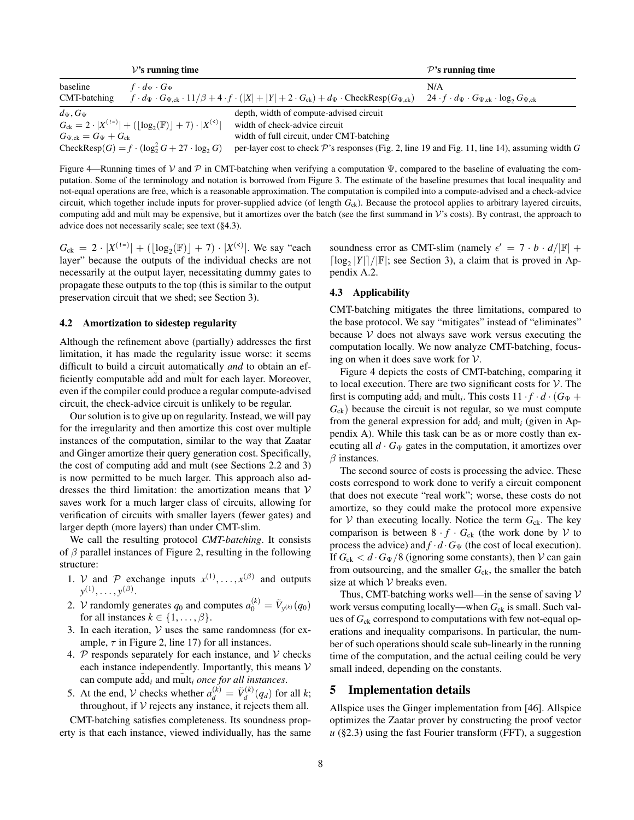|                                   | $\mathcal{V}$ 's running time                                             |                                                                                                                                                   | $\mathcal{P}$ 's running time                                          |
|-----------------------------------|---------------------------------------------------------------------------|---------------------------------------------------------------------------------------------------------------------------------------------------|------------------------------------------------------------------------|
| baseline                          | $f \cdot d_{\Psi} \cdot G_{\Psi}$                                         |                                                                                                                                                   | N/A                                                                    |
| CMT-batching                      |                                                                           | $f \cdot d_{\Psi} \cdot G_{\Psi,ck} \cdot 11/\beta + 4 \cdot f \cdot ( X  +  Y  + 2 \cdot G_{ck}) + d_{\Psi} \cdot \text{CheckResp}(G_{\Psi,ck})$ | $24 \cdot f \cdot d_{\Psi} \cdot G_{\Psi,ck} \cdot \log_2 G_{\Psi,ck}$ |
| $d_{\Psi}$ , $G_{\Psi}$           |                                                                           | depth, width of compute-advised circuit                                                                                                           |                                                                        |
|                                   | $G_{ck} = 2 \cdot  X^{(1)}  + ( \log_2(\mathbb{F})  + 7) \cdot  X^{(0)} $ | width of check-advice circuit                                                                                                                     |                                                                        |
| $G_{\Psi,ck} = G_{\Psi} + G_{ck}$ |                                                                           | width of full circuit, under CMT-batching                                                                                                         |                                                                        |
|                                   | CheckResp $(G) = f \cdot (\log_2^2 G + 27 \cdot \log_2 G)$                | per-layer cost to check $\mathcal P$ 's responses (Fig. 2, line 19 and Fig. 11, line 14), assuming width G                                        |                                                                        |

<span id="page-7-3"></span>Figure 4—Running times of V and P in CMT-batching when verifying a computation  $\Psi$ , compared to the baseline of evaluating the computation. Some of the terminology and notation is borrowed from Figure [3.](#page-6-0) The estimate of the baseline presumes that local inequality and not-equal operations are free, which is a reasonable approximation. The computation is compiled into a compute-advised and a check-advice circuit, which together include inputs for prover-supplied advice (of length *G*ck). Because the protocol applies to arbitrary layered circuits, computing add and mult may be expensive, but it amortizes over the batch (see the first summand in  $\mathcal{V}$ 's costs). By contrast, the approach to advice does not necessarily scale; see text ([§4.3\)](#page-7-2).

 $G_{ck} = 2 \cdot |X^{(1=)}| + (log_2(\mathbb{F}) + 7) \cdot |X^{(0)}|$ . We say "each layer" because the outputs of the individual checks are not necessarily at the output layer, necessitating dummy gates to propagate these outputs to the top (this is similar to the output preservation circuit that we shed; see Section [3\)](#page-5-0).

### <span id="page-7-1"></span>4.2 Amortization to sidestep regularity

Although the refinement above (partially) addresses the first limitation, it has made the regularity issue worse: it seems difficult to build a circuit automatically *and* to obtain an efficiently computable add and mult for each layer. Moreover, even if the compiler could produce a regular compute-advised circuit, the check-advice circuit is unlikely to be regular.

Our solution is to give up on regularity. Instead, we will pay for the irregularity and then amortize this cost over multiple instances of the computation, similar to the way that Zaatar and Ginger amortize their query generation cost. Specifically, the cost of computing add and mult (see Sections [2.2](#page-2-0) and [3\)](#page-5-0) is now permitted to be much larger. This approach also addresses the third limitation: the amortization means that  $V$ saves work for a much larger class of circuits, allowing for verification of circuits with smaller layers (fewer gates) and larger depth (more layers) than under CMT-slim.

We call the resulting protocol *CMT-batching*. It consists of  $\beta$  parallel instances of Figure [2,](#page-3-1) resulting in the following structure:

- 1. *V* and *P* exchange inputs  $x^{(1)}, \ldots, x^{(\beta)}$  and outputs  $y^{(1)}, \ldots, y^{(\beta)}.$
- 2. *V* randomly generates  $q_0$  and computes  $a_0^{(k)} = \tilde{V}_{y^{(k)}}(q_0)$ for all instances  $k \in \{1, \ldots, \beta\}.$
- 3. In each iteration,  $V$  uses the same randomness (for example,  $\tau$  in Figure [2,](#page-3-1) line [17\)](#page-3-0) for all instances.
- 4.  $P$  responds separately for each instance, and  $V$  checks each instance independently. Importantly, this means  $V$ can compute  $\tilde{\text{add}}_i$  and  $\tilde{\text{mult}}_i$  *once for all instances.*
- 5. At the end, *V* checks whether  $a_d^{(k)} = \tilde{V}_d^{(k)}$  $d_d^{(k)}(q_d)$  for all *k*; throughout, if  $V$  rejects any instance, it rejects them all.

CMT-batching satisfies completeness. Its soundness property is that each instance, viewed individually, has the same

soundness error as CMT-slim (namely  $\epsilon' = 7 \cdot b \cdot d/|\mathbb{F}| +$  $\lceil \log_2 |Y| \rceil / |\mathbb{F}|$ ; see Section [3\)](#page-5-0), a claim that is proved in Appendix [A.2.](#page-13-0)

### <span id="page-7-2"></span>4.3 Applicability

CMT-batching mitigates the three limitations, compared to the base protocol. We say "mitigates" instead of "eliminates" because  $V$  does not always save work versus executing the computation locally. We now analyze CMT-batching, focusing on when it does save work for  $V$ .

Figure [4](#page-7-3) depicts the costs of CMT-batching, comparing it to local execution. There are two significant costs for  $V$ . The first is computing  $\tilde{\text{add}}_i$  and  $\tilde{\text{mult}}_i$ . This costs  $11 \cdot f \cdot d \cdot (G_{\Psi} +$  $G_{ck}$ ) because the circuit is not regular, so we must compute from the general expression for  $\tilde{a} \tilde{d} d_i$  and mult<sub>i</sub> (given in Appendix [A\)](#page-12-1). While this task can be as or more costly than executing all  $d \cdot G_{\Psi}$  gates in the computation, it amortizes over  $\beta$  instances.

The second source of costs is processing the advice. These costs correspond to work done to verify a circuit component that does not execute "real work"; worse, these costs do not amortize, so they could make the protocol more expensive for  $V$  than executing locally. Notice the term  $G_{ck}$ . The key comparison is between  $8 \cdot f \cdot G_{ck}$  (the work done by  $V$  to process the advice) and  $f \cdot d \cdot G_{\Psi}$  (the cost of local execution). If  $G_{ck} < d \cdot G_{\Psi}/8$  (ignoring some constants), then  $V$  can gain from outsourcing, and the smaller  $G_{ck}$ , the smaller the batch size at which  $V$  breaks even.

Thus, CMT-batching works well—in the sense of saving  $V$ work versus computing locally—when  $G_{ck}$  is small. Such values of  $G_{ck}$  correspond to computations with few not-equal operations and inequality comparisons. In particular, the number of such operations should scale sub-linearly in the running time of the computation, and the actual ceiling could be very small indeed, depending on the constants.

# <span id="page-7-0"></span>5 Implementation details

Allspice uses the Ginger implementation from [\[46\]](#page-14-30). Allspice optimizes the Zaatar prover by constructing the proof vector  $u$  ([§2.3\)](#page-4-0) using the fast Fourier transform (FFT), a suggestion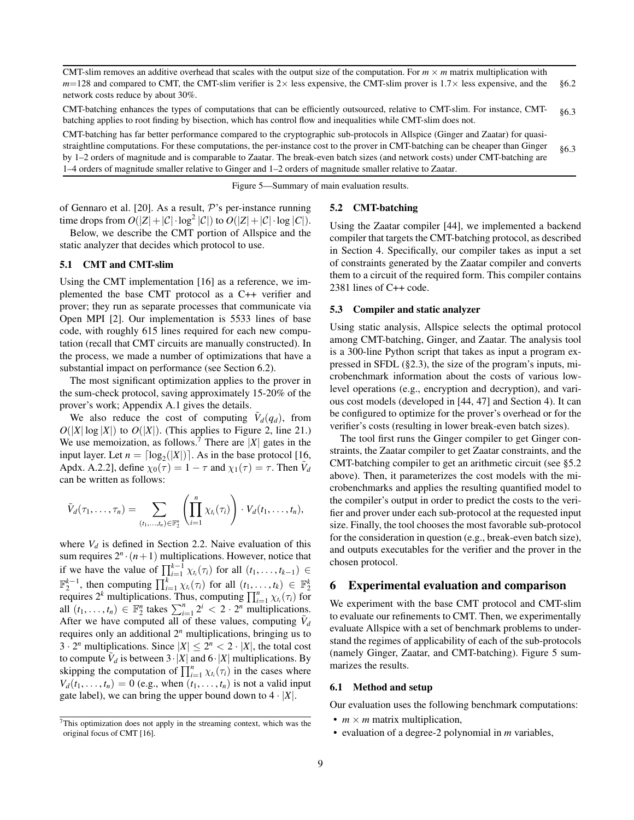| CMT-slim removes an additive overhead that scales with the output size of the computation. For $m \times m$ matrix multiplication with |      |
|----------------------------------------------------------------------------------------------------------------------------------------|------|
| $m=128$ and compared to CMT, the CMT-slim verifier is 2 \times expensive, the CMT-slim prover is 1.7 \times expensive, and the §6.2    |      |
| network costs reduce by about 30%.                                                                                                     |      |
| CMT-batching enhances the types of computations that can be efficiently outsourced, relative to CMT-slim. For instance, CMT-           | 86.3 |

batching applies to root finding by bisection, which has control flow and inequalities while CMT-slim does not. CMT-batching has far better performance compared to the cryptographic sub-protocols in Allspice (Ginger and Zaatar) for quasistraightline computations. For these computations, the per-instance cost to the prover in CMT-batching can be cheaper than Ginger by 1–2 orders of magnitude and is comparable to Zaatar. The break-even batch sizes (and network costs) under CMT-batching are 1–4 orders of magnitude smaller relative to Ginger and 1–2 orders of magnitude smaller relative to Zaatar. [§6.3](#page-9-1)

<span id="page-8-4"></span>Figure 5—Summary of main evaluation results.

of Gennaro et al. [\[20\]](#page-14-21). As a result,  $P$ 's per-instance running time drops from  $O(|Z| + |\mathcal{C}| \cdot \log^2 |\mathcal{C}|)$  to  $O(|Z| + |\mathcal{C}| \cdot \log |\mathcal{C}|)$ .

Below, we describe the CMT portion of Allspice and the static analyzer that decides which protocol to use.

#### <span id="page-8-2"></span>5.1 CMT and CMT-slim

Using the CMT implementation [\[16\]](#page-14-17) as a reference, we implemented the base CMT protocol as a C++ verifier and prover; they run as separate processes that communicate via Open MPI [\[2\]](#page-14-34). Our implementation is 5533 lines of base code, with roughly 615 lines required for each new computation (recall that CMT circuits are manually constructed). In the process, we made a number of optimizations that have a substantial impact on performance (see Section [6.2\)](#page-9-0).

The most significant optimization applies to the prover in the sum-check protocol, saving approximately 15-20% of the prover's work; Appendix [A.1](#page-12-0) gives the details.

We also reduce the cost of computing  $\tilde{V}_d(q_d)$ , from  $O(|X| \log |X|)$  to  $O(|X|)$ . (This applies to Figure [2,](#page-3-1) line [21.](#page-3-0)) We use memoization, as follows.<sup>7</sup> There are  $|X|$  gates in the input layer. Let  $n = \lceil \log_2(|X|) \rceil$ . As in the base protocol [\[16,](#page-14-17) Apdx. A.2.2], define  $\chi_0(\tau) = 1 - \tau$  and  $\chi_1(\tau) = \tau$ . Then  $\tilde{V}_d$ can be written as follows:

$$
\tilde{V}_d(\tau_1,\ldots,\tau_n)=\sum_{(t_1,\ldots,t_n)\in\mathbb{F}_2^n}\left(\prod_{i=1}^n\chi_{t_i}(\tau_i)\right)\cdot V_d(t_1,\ldots,t_n),
$$

where  $V_d$  is defined in Section [2.2.](#page-2-0) Naive evaluation of this sum requires  $2^n \cdot (n+1)$  multiplications. However, notice that if we have the value of  $\prod_{i=1}^{k-1} \chi_{t_i}(\tau_i)$  for all  $(t_1, \ldots, t_{k-1}) \in$  $\mathbb{F}_2^{k-1}$ , then computing  $\prod_{i=1}^k \chi_{t_i}(\tau_i)$  for all  $(t_1, ..., t_k) \in \mathbb{F}_2^k$ <br>requires  $2^k$  multiplications. Thus, computing  $\prod_{i=1}^n \chi_{t_i}(\tau_i)$  for all  $(t_1, \ldots, t_n) \in \mathbb{F}_2^n$  takes  $\sum_{i=1}^n 2^i < 2 \cdot 2^n$  multiplications. After we have computed all of these values, computing  $\tilde{V}_d$ requires only an additional 2*<sup>n</sup>* multiplications, bringing us to 3 · 2<sup>*n*</sup> multiplications. Since  $|X| \le 2^n < 2 \cdot |X|$ , the total cost to compute  $\tilde{V}_d$  is between  $3 \cdot |X|$  and  $6 \cdot |X|$  multiplications. By skipping the computation of  $\prod_{i=1}^{n} \chi_{t_i}(\tau_i)$  in the cases where  $V_d(t_1, \ldots, t_n) = 0$  (e.g., when  $(t_1, \ldots, t_n)$  is not a valid input gate label), we can bring the upper bound down to  $4 \cdot |X|$ .

### <span id="page-8-3"></span>5.2 CMT-batching

Using the Zaatar compiler [\[44\]](#page-14-22), we implemented a backend compiler that targets the CMT-batching protocol, as described in Section [4.](#page-5-1) Specifically, our compiler takes as input a set of constraints generated by the Zaatar compiler and converts them to a circuit of the required form. This compiler contains 2381 lines of C++ code.

#### <span id="page-8-5"></span>5.3 Compiler and static analyzer

Using static analysis, Allspice selects the optimal protocol among CMT-batching, Ginger, and Zaatar. The analysis tool is a 300-line Python script that takes as input a program expressed in SFDL ([§2.3\)](#page-4-0), the size of the program's inputs, microbenchmark information about the costs of various lowlevel operations (e.g., encryption and decryption), and various cost models (developed in [\[44,](#page-14-22) [47\]](#page-14-23) and Section [4\)](#page-5-1). It can be configured to optimize for the prover's overhead or for the verifier's costs (resulting in lower break-even batch sizes).

The tool first runs the Ginger compiler to get Ginger constraints, the Zaatar compiler to get Zaatar constraints, and the CMT-batching compiler to get an arithmetic circuit (see [§5.2](#page-8-3) above). Then, it parameterizes the cost models with the microbenchmarks and applies the resulting quantified model to the compiler's output in order to predict the costs to the verifier and prover under each sub-protocol at the requested input size. Finally, the tool chooses the most favorable sub-protocol for the consideration in question (e.g., break-even batch size), and outputs executables for the verifier and the prover in the chosen protocol.

### <span id="page-8-0"></span>6 Experimental evaluation and comparison

We experiment with the base CMT protocol and CMT-slim to evaluate our refinements to CMT. Then, we experimentally evaluate Allspice with a set of benchmark problems to understand the regimes of applicability of each of the sub-protocols (namely Ginger, Zaatar, and CMT-batching). Figure [5](#page-8-4) summarizes the results.

#### <span id="page-8-1"></span>6.1 Method and setup

Our evaluation uses the following benchmark computations:

- $m \times m$  matrix multiplication,
- evaluation of a degree-2 polynomial in *m* variables,

<sup>7</sup>This optimization does not apply in the streaming context, which was the original focus of CMT [\[16\]](#page-14-17).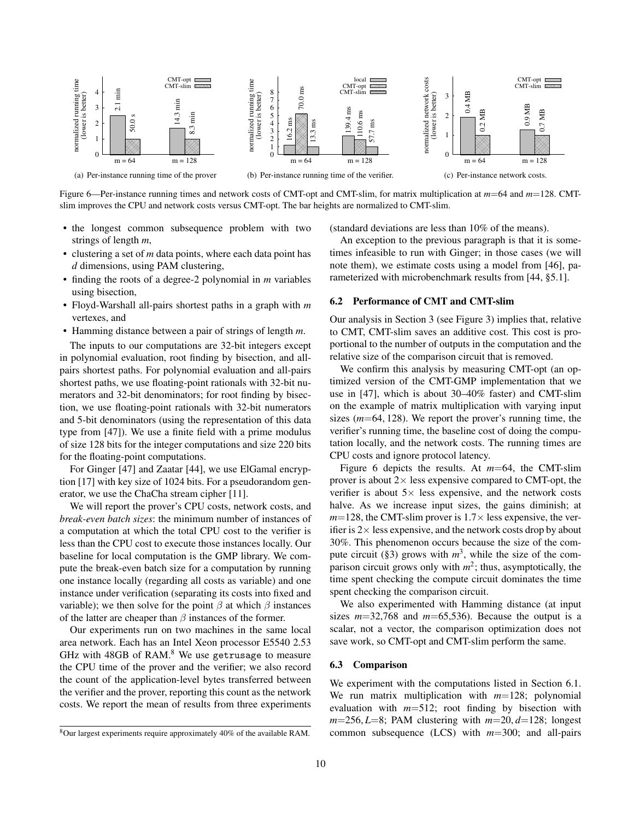

<span id="page-9-2"></span>Figure 6—Per-instance running times and network costs of CMT-opt and CMT-slim, for matrix multiplication at *m*=64 and *m*=128. CMTslim improves the CPU and network costs versus CMT-opt. The bar heights are normalized to CMT-slim.

- the longest common subsequence problem with two strings of length *m*,
- clustering a set of *m* data points, where each data point has *d* dimensions, using PAM clustering,
- finding the roots of a degree-2 polynomial in *m* variables using bisection,
- Floyd-Warshall all-pairs shortest paths in a graph with *m* vertexes, and
- Hamming distance between a pair of strings of length *m*.

The inputs to our computations are 32-bit integers except in polynomial evaluation, root finding by bisection, and allpairs shortest paths. For polynomial evaluation and all-pairs shortest paths, we use floating-point rationals with 32-bit numerators and 32-bit denominators; for root finding by bisection, we use floating-point rationals with 32-bit numerators and 5-bit denominators (using the representation of this data type from [\[47\]](#page-14-23)). We use a finite field with a prime modulus of size 128 bits for the integer computations and size 220 bits for the floating-point computations.

For Ginger [\[47\]](#page-14-23) and Zaatar [\[44\]](#page-14-22), we use ElGamal encryption [\[17\]](#page-14-27) with key size of 1024 bits. For a pseudorandom generator, we use the ChaCha stream cipher [\[11\]](#page-14-35).

We will report the prover's CPU costs, network costs, and *break-even batch sizes*: the minimum number of instances of a computation at which the total CPU cost to the verifier is less than the CPU cost to execute those instances locally. Our baseline for local computation is the GMP library. We compute the break-even batch size for a computation by running one instance locally (regarding all costs as variable) and one instance under verification (separating its costs into fixed and variable); we then solve for the point  $\beta$  at which  $\beta$  instances of the latter are cheaper than  $\beta$  instances of the former.

Our experiments run on two machines in the same local area network. Each has an Intel Xeon processor E5540 2.53 GHz with 48GB of RAM.<sup>8</sup> We use getrusage to measure the CPU time of the prover and the verifier; we also record the count of the application-level bytes transferred between the verifier and the prover, reporting this count as the network costs. We report the mean of results from three experiments

(standard deviations are less than 10% of the means).

An exception to the previous paragraph is that it is sometimes infeasible to run with Ginger; in those cases (we will note them), we estimate costs using a model from [\[46\]](#page-14-30), parameterized with microbenchmark results from [\[44,](#page-14-22) §5.1].

### <span id="page-9-0"></span>6.2 Performance of CMT and CMT-slim

Our analysis in Section [3](#page-5-0) (see Figure [3\)](#page-6-0) implies that, relative to CMT, CMT-slim saves an additive cost. This cost is proportional to the number of outputs in the computation and the relative size of the comparison circuit that is removed.

We confirm this analysis by measuring CMT-opt (an optimized version of the CMT-GMP implementation that we use in [\[47\]](#page-14-23), which is about 30–40% faster) and CMT-slim on the example of matrix multiplication with varying input sizes (*m*=64, 128). We report the prover's running time, the verifier's running time, the baseline cost of doing the computation locally, and the network costs. The running times are CPU costs and ignore protocol latency.

Figure [6](#page-9-2) depicts the results. At *m*=64, the CMT-slim prover is about  $2 \times$  less expensive compared to CMT-opt, the verifier is about  $5 \times$  less expensive, and the network costs halve. As we increase input sizes, the gains diminish; at  $m=128$ , the CMT-slim prover is  $1.7\times$  less expensive, the verifier is  $2\times$  less expensive, and the network costs drop by about 30%. This phenomenon occurs because the size of the com-pute circuit ([§3\)](#page-5-0) grows with  $m^3$ , while the size of the comparison circuit grows only with *m* 2 ; thus, asymptotically, the time spent checking the compute circuit dominates the time spent checking the comparison circuit.

We also experimented with Hamming distance (at input sizes  $m=32,768$  and  $m=65,536$ ). Because the output is a scalar, not a vector, the comparison optimization does not save work, so CMT-opt and CMT-slim perform the same.

### <span id="page-9-1"></span>6.3 Comparison

We experiment with the computations listed in Section [6.1.](#page-8-1) We run matrix multiplication with *m*=128; polynomial evaluation with *m*=512; root finding by bisection with  $m=256, L=8$ ; PAM clustering with  $m=20, d=128$ ; longest common subsequence (LCS) with *m*=300; and all-pairs

<sup>8</sup>Our largest experiments require approximately 40% of the available RAM.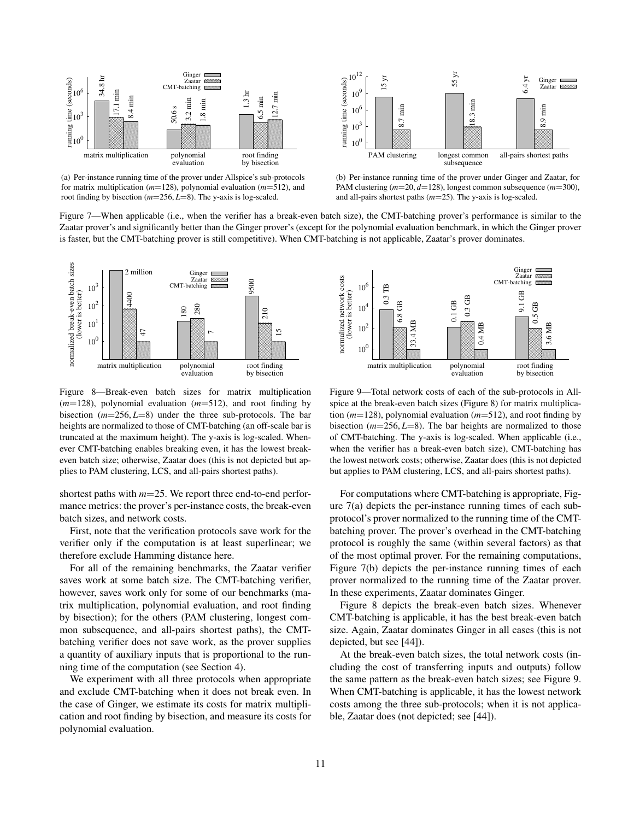<span id="page-10-1"></span>

(a) Per-instance running time of the prover under Allspice's sub-protocols for matrix multiplication (*m*=128), polynomial evaluation (*m*=512), and root finding by bisection (*m*=256, *L*=8). The y-axis is log-scaled.



<span id="page-10-2"></span>(b) Per-instance running time of the prover under Ginger and Zaatar, for PAM clustering (*m*=20, *d*=128), longest common subsequence (*m*=300), and all-pairs shortest paths (*m*=25). The y-axis is log-scaled.

Figure 7—When applicable (i.e., when the verifier has a break-even batch size), the CMT-batching prover's performance is similar to the Zaatar prover's and significantly better than the Ginger prover's (except for the polynomial evaluation benchmark, in which the Ginger prover is faster, but the CMT-batching prover is still competitive). When CMT-batching is not applicable, Zaatar's prover dominates.



<span id="page-10-0"></span>Figure 8—Break-even batch sizes for matrix multiplication (*m*=128), polynomial evaluation (*m*=512), and root finding by bisection (*m*=256, *L*=8) under the three sub-protocols. The bar heights are normalized to those of CMT-batching (an off-scale bar is truncated at the maximum height). The y-axis is log-scaled. Whenever CMT-batching enables breaking even, it has the lowest breakeven batch size; otherwise, Zaatar does (this is not depicted but applies to PAM clustering, LCS, and all-pairs shortest paths).

shortest paths with *m*=25. We report three end-to-end performance metrics: the prover's per-instance costs, the break-even batch sizes, and network costs.

First, note that the verification protocols save work for the verifier only if the computation is at least superlinear; we therefore exclude Hamming distance here.

For all of the remaining benchmarks, the Zaatar verifier saves work at some batch size. The CMT-batching verifier, however, saves work only for some of our benchmarks (matrix multiplication, polynomial evaluation, and root finding by bisection); for the others (PAM clustering, longest common subsequence, and all-pairs shortest paths), the CMTbatching verifier does not save work, as the prover supplies a quantity of auxiliary inputs that is proportional to the running time of the computation (see Section [4\)](#page-5-1).

We experiment with all three protocols when appropriate and exclude CMT-batching when it does not break even. In the case of Ginger, we estimate its costs for matrix multiplication and root finding by bisection, and measure its costs for polynomial evaluation.



<span id="page-10-3"></span>Figure 9—Total network costs of each of the sub-protocols in Allspice at the break-even batch sizes (Figure [8\)](#page-10-0) for matrix multiplication (*m*=128), polynomial evaluation (*m*=512), and root finding by bisection (*m*=256, *L*=8). The bar heights are normalized to those of CMT-batching. The y-axis is log-scaled. When applicable (i.e., when the verifier has a break-even batch size), CMT-batching has the lowest network costs; otherwise, Zaatar does (this is not depicted but applies to PAM clustering, LCS, and all-pairs shortest paths).

For computations where CMT-batching is appropriate, Figure [7\(a\)](#page-10-1) depicts the per-instance running times of each subprotocol's prover normalized to the running time of the CMTbatching prover. The prover's overhead in the CMT-batching protocol is roughly the same (within several factors) as that of the most optimal prover. For the remaining computations, Figure [7\(b\)](#page-10-2) depicts the per-instance running times of each prover normalized to the running time of the Zaatar prover. In these experiments, Zaatar dominates Ginger.

Figure [8](#page-10-0) depicts the break-even batch sizes. Whenever CMT-batching is applicable, it has the best break-even batch size. Again, Zaatar dominates Ginger in all cases (this is not depicted, but see [\[44\]](#page-14-22)).

At the break-even batch sizes, the total network costs (including the cost of transferring inputs and outputs) follow the same pattern as the break-even batch sizes; see Figure [9.](#page-10-3) When CMT-batching is applicable, it has the lowest network costs among the three sub-protocols; when it is not applicable, Zaatar does (not depicted; see [\[44\]](#page-14-22)).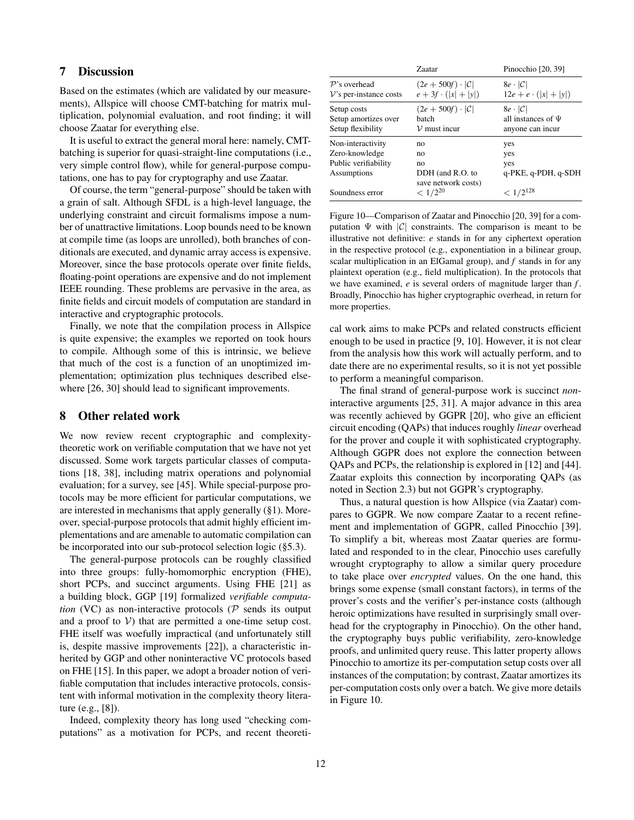# 7 Discussion

Based on the estimates (which are validated by our measurements), Allspice will choose CMT-batching for matrix multiplication, polynomial evaluation, and root finding; it will choose Zaatar for everything else.

It is useful to extract the general moral here: namely, CMTbatching is superior for quasi-straight-line computations (i.e., very simple control flow), while for general-purpose computations, one has to pay for cryptography and use Zaatar.

Of course, the term "general-purpose" should be taken with a grain of salt. Although SFDL is a high-level language, the underlying constraint and circuit formalisms impose a number of unattractive limitations. Loop bounds need to be known at compile time (as loops are unrolled), both branches of conditionals are executed, and dynamic array access is expensive. Moreover, since the base protocols operate over finite fields, floating-point operations are expensive and do not implement IEEE rounding. These problems are pervasive in the area, as finite fields and circuit models of computation are standard in interactive and cryptographic protocols.

Finally, we note that the compilation process in Allspice is quite expensive; the examples we reported on took hours to compile. Although some of this is intrinsic, we believe that much of the cost is a function of an unoptimized implementation; optimization plus techniques described else-where [\[26,](#page-14-36) [30\]](#page-14-37) should lead to significant improvements.

### <span id="page-11-0"></span>8 Other related work

We now review recent cryptographic and complexitytheoretic work on verifiable computation that we have not yet discussed. Some work targets particular classes of computations [\[18,](#page-14-38) [38\]](#page-14-39), including matrix operations and polynomial evaluation; for a survey, see [\[45\]](#page-14-16). While special-purpose protocols may be more efficient for particular computations, we are interested in mechanisms that apply generally ([§1\)](#page-0-0). Moreover, special-purpose protocols that admit highly efficient implementations and are amenable to automatic compilation can be incorporated into our sub-protocol selection logic ([§5.3\)](#page-8-5).

The general-purpose protocols can be roughly classified into three groups: fully-homomorphic encryption (FHE), short PCPs, and succinct arguments. Using FHE [\[21\]](#page-14-40) as a building block, GGP [\[19\]](#page-14-13) formalized *verifiable computation* (VC) as non-interactive protocols ( $P$  sends its output and a proof to  $V$ ) that are permitted a one-time setup cost. FHE itself was woefully impractical (and unfortunately still is, despite massive improvements [\[22\]](#page-14-41)), a characteristic inherited by GGP and other noninteractive VC protocols based on FHE [\[15\]](#page-14-42). In this paper, we adopt a broader notion of verifiable computation that includes interactive protocols, consistent with informal motivation in the complexity theory literature (e.g., [\[8\]](#page-14-43)).

Indeed, complexity theory has long used "checking computations" as a motivation for PCPs, and recent theoreti-

|                                                                            | Zaatar                                                          | Pinocchio [20, 39]                                                      |
|----------------------------------------------------------------------------|-----------------------------------------------------------------|-------------------------------------------------------------------------|
| $P$ 's overhead<br>$V$ 's per-instance costs                               | $(2e + 500f) \cdot  \mathcal{C} $<br>$e + 3f \cdot ( x  +  y )$ | $8e \cdot  \mathcal{C} $<br>$12e + e \cdot ( x  +  y )$                 |
| Setup costs<br>Setup amortizes over<br>Setup flexibility                   | $(2e + 500f) \cdot  \mathcal{C} $<br>batch<br>$\nu$ must incur  | $8e \cdot  \mathcal{C} $<br>all instances of $\Psi$<br>anyone can incur |
| Non-interactivity<br>Zero-knowledge<br>Public verifiability<br>Assumptions | no<br>no<br>no<br>DDH (and R.O. to<br>save network costs)       | yes<br>yes<br>yes<br>q-PKE, q-PDH, q-SDH                                |
| Soundness error                                                            | $< 1/2^{20}$                                                    | $<1/2^{128}\,$                                                          |

<span id="page-11-1"></span>Figure 10—Comparison of Zaatar and Pinocchio [\[20,](#page-14-21) [39\]](#page-14-44) for a computation  $\Psi$  with  $|\mathcal{C}|$  constraints. The comparison is meant to be illustrative not definitive: *e* stands in for any ciphertext operation in the respective protocol (e.g., exponentiation in a bilinear group, scalar multiplication in an ElGamal group), and *f* stands in for any plaintext operation (e.g., field multiplication). In the protocols that we have examined, *e* is several orders of magnitude larger than *f* . Broadly, Pinocchio has higher cryptographic overhead, in return for more properties.

cal work aims to make PCPs and related constructs efficient enough to be used in practice [\[9,](#page-14-19) [10\]](#page-14-20). However, it is not clear from the analysis how this work will actually perform, and to date there are no experimental results, so it is not yet possible to perform a meaningful comparison.

The final strand of general-purpose work is succinct *non*interactive arguments [\[25,](#page-14-45) [31\]](#page-14-46). A major advance in this area was recently achieved by GGPR [\[20\]](#page-14-21), who give an efficient circuit encoding (QAPs) that induces roughly *linear* overhead for the prover and couple it with sophisticated cryptography. Although GGPR does not explore the connection between QAPs and PCPs, the relationship is explored in [\[12\]](#page-14-47) and [\[44\]](#page-14-22). Zaatar exploits this connection by incorporating QAPs (as noted in Section [2.3\)](#page-4-0) but not GGPR's cryptography.

Thus, a natural question is how Allspice (via Zaatar) compares to GGPR. We now compare Zaatar to a recent refinement and implementation of GGPR, called Pinocchio [\[39\]](#page-14-44). To simplify a bit, whereas most Zaatar queries are formulated and responded to in the clear, Pinocchio uses carefully wrought cryptography to allow a similar query procedure to take place over *encrypted* values. On the one hand, this brings some expense (small constant factors), in terms of the prover's costs and the verifier's per-instance costs (although heroic optimizations have resulted in surprisingly small overhead for the cryptography in Pinocchio). On the other hand, the cryptography buys public verifiability, zero-knowledge proofs, and unlimited query reuse. This latter property allows Pinocchio to amortize its per-computation setup costs over all instances of the computation; by contrast, Zaatar amortizes its per-computation costs only over a batch. We give more details in Figure [10.](#page-11-1)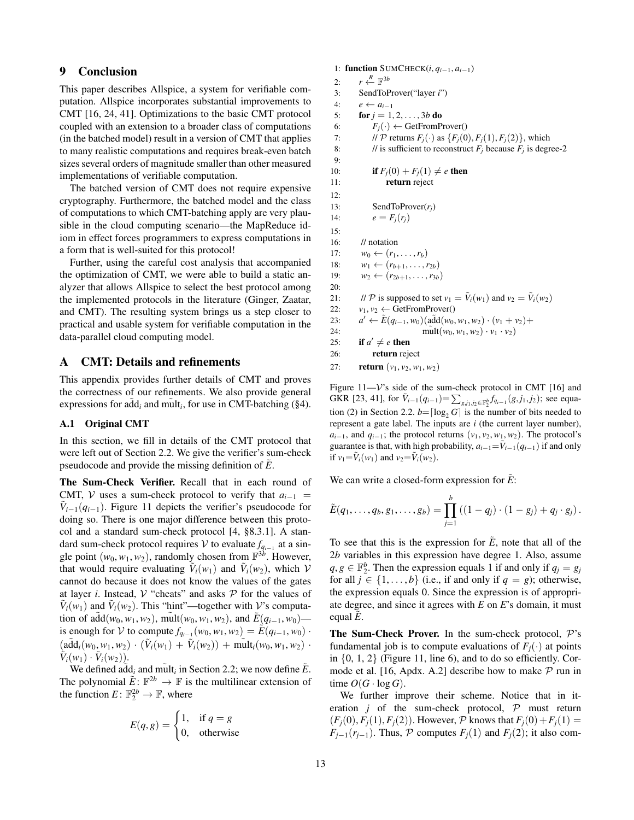# 9 Conclusion

This paper describes Allspice, a system for verifiable computation. Allspice incorporates substantial improvements to CMT [\[16,](#page-14-17) [24,](#page-14-9) [41\]](#page-14-28). Optimizations to the basic CMT protocol coupled with an extension to a broader class of computations (in the batched model) result in a version of CMT that applies to many realistic computations and requires break-even batch sizes several orders of magnitude smaller than other measured implementations of verifiable computation.

The batched version of CMT does not require expensive cryptography. Furthermore, the batched model and the class of computations to which CMT-batching apply are very plausible in the cloud computing scenario—the MapReduce idiom in effect forces programmers to express computations in a form that is well-suited for this protocol!

Further, using the careful cost analysis that accompanied the optimization of CMT, we were able to build a static analyzer that allows Allspice to select the best protocol among the implemented protocols in the literature (Ginger, Zaatar, and CMT). The resulting system brings us a step closer to practical and usable system for verifiable computation in the data-parallel cloud computing model.

# <span id="page-12-1"></span>A CMT: Details and refinements

This appendix provides further details of CMT and proves the correctness of our refinements. We also provide general expressions for  $\tilde{\text{add}}_i$  and  $\tilde{\text{mult}}_i$ , for use in CMT-batching ([§4\)](#page-5-1).

### <span id="page-12-0"></span>A.1 Original CMT

In this section, we fill in details of the CMT protocol that were left out of Section [2.2.](#page-2-0) We give the verifier's sum-check pseudocode and provide the missing definition of *E*.

The Sum-Check Verifier. Recall that in each round of CMT, V uses a sum-check protocol to verify that  $a_{i-1}$  =  $\tilde{V}_{i-1}(q_{i-1})$ . Figure [11](#page-12-2) depicts the verifier's pseudocode for doing so. There is one major difference between this protocol and a standard sum-check protocol [\[4,](#page-14-29) §8.3.1]. A standard sum-check protocol requires  $V$  to evaluate  $f_{q_{i-1}}$  at a single point  $(w_0, w_1, w_2)$ , randomly chosen from  $\mathbb{F}^{3b}$ . However, that would require evaluating  $V_i(w_1)$  and  $V_i(w_2)$ , which V cannot do because it does not know the values of the gates at layer *i*. Instead,  $V$  "cheats" and asks  $P$  for the values of  $\tilde{V}_i(w_1)$  and  $\tilde{V}_i(w_2)$ . This "hint"—together with V's computation of add( $w_0, w_1, w_2$ ), mult( $w_0, w_1, w_2$ ), and  $E(q_{i-1}, w_0)$  is enough for V to compute  $f_{q_{i-1}}(w_0, w_1, w_2) = \widetilde{E}(q_{i-1}, w_0)$ .  $(\tilde{adj}(w_0, w_1, w_2) \cdot (\tilde{V}_i(w_1) + \tilde{V}_i(w_2)) + \tilde{\text{mult}}_i(w_0, w_1, w_2)$  $\tilde{V}_i(w_1) \cdot \tilde{V}_i(w_2)$ .

We defined  $\tilde{\text{add}}_i$  and  $\text{mult}_i$  in Section [2.2;](#page-2-0) we now define  $\tilde{E}$ . The polynomial  $\tilde{E}: \mathbb{F}^{2b} \to \mathbb{F}$  is the multilinear extension of the function  $E: \mathbb{F}_2^{2b} \to \mathbb{F}$ , where

$$
E(q, g) = \begin{cases} 1, & \text{if } q = g \\ 0, & \text{otherwise} \end{cases}
$$

1: function SUMCHECK(*i*, *qi*−1, *ai*−1)  $2:$ *<sup>R</sup>*←− F 3*b* 3: SendToProver("layer *i*") 4:  $e \leftarrow a_{i-1}$ 5: **for**  $j = 1, 2, ..., 3b$  **do** 6:  $F_j(\cdot) \leftarrow \text{GetFromProver}(\cdot)$ 7: // P returns  $F_i(\cdot)$  as  $\{F_i(0), F_i(1), F_i(2)\}$ , which 8: // is sufficient to reconstruct  $F_j$  because  $F_j$  is degree-2 9: 10: **if**  $F_j(0) + F_j(1) \neq e$  **then** 11: **return** reject 12: 13: SendToProver(*rj*) 14:  $e = F_i(r_i)$  $15$ 16: // notation 17:  $w_0$  ←  $(r_1, ..., r_b)$ 18:  $w_1 \leftarrow (r_{b+1}, \ldots, r_{2b})$ 19:  $w_2 \leftarrow (r_{2b+1}, \ldots, r_{3b})$ 20: 21: *// P* is supposed to set  $v_1 = \tilde{V}_i(w_1)$  and  $v_2 = \tilde{V}_i(w_2)$ 22:  $v_1, v_2 \leftarrow \text{GetFromProver}()$ 23: *a*  $a'$  ←  $E(q_{i-1}, w_0)$ (add( $w_0, w_1, w_2) \cdot (v_1 + v_2) +$ 24: mult $(w_0, w_1, w_2) \cdot v_1 \cdot v_2$ 25: if  $a' \neq e$  then 26: return reject

```
27: return (v_1, v_2, w_1, w_2)
```
<span id="page-12-2"></span>Figure 11—V's side of the sum-check protocol in CMT [\[16\]](#page-14-17) and GKR [\[23,](#page-14-25) [41\]](#page-14-28), for  $\tilde{V}_{i-1}(q_{i-1}) = \sum_{g,j_1,j_2 \in \mathbb{F}_2^b} f_{q_{i-1}}(g,j_1,j_2)$ ; see equa-tion [\(2\)](#page-3-2) in Section [2.2.](#page-2-0)  $b = \lceil \log_2 G \rceil$  is the number of bits needed to represent a gate label. The inputs are *i* (the current layer number),  $a_{i-1}$ , and  $q_{i-1}$ ; the protocol returns (*v*<sub>1</sub>, *v*<sub>2</sub>, *w*<sub>1</sub>, *w*<sub>2</sub>). The protocol's guarantee is that, with high probability,  $a_{i-1} = \tilde{V}_{i-1}(q_{i-1})$  if and only if  $v_1 = \bar{V}_i(w_1)$  and  $v_2 = \bar{V}_i(w_2)$ .

We can write a closed-form expression for *E*:

$$
\tilde{E}(q_1,\ldots,q_b,g_1,\ldots,g_b) = \prod_{j=1}^b ((1-q_j)\cdot(1-g_j)+q_j\cdot g_j).
$$

To see that this is the expression for *E*, note that all of the 2*b* variables in this expression have degree 1. Also, assume  $q, g \in \mathbb{F}_2^b$ . Then the expression equals 1 if and only if  $q_j = g_j$ for all  $j \in \{1, ..., b\}$  (i.e., if and only if  $q = g$ ); otherwise, the expression equals 0. Since the expression is of appropriate degree, and since it agrees with *E* on *E*'s domain, it must equal *E*.

**The Sum-Check Prover.** In the sum-check protocol,  $P$ 's fundamental job is to compute evaluations of  $F_i(\cdot)$  at points in  $\{0, 1, 2\}$  (Figure [11,](#page-12-2) line [6\)](#page-12-1), and to do so efficiently. Cor-mode et al. [\[16,](#page-14-17) Apdx. A.2] describe how to make  $P$  run in time  $O(G \cdot \log G)$ .

We further improve their scheme. Notice that in iteration *j* of the sum-check protocol,  $P$  must return  $(F_i(0), F_i(1), F_i(2))$ . However, P knows that  $F_i(0) + F_i(1) =$ *F*<sub>*j*−1</sub>( $r$ <sup>*j*−1</sup>). Thus, P computes  $F$ <sup>*j*</sup>(1) and  $F$ <sup>*j*</sup>(2); it also com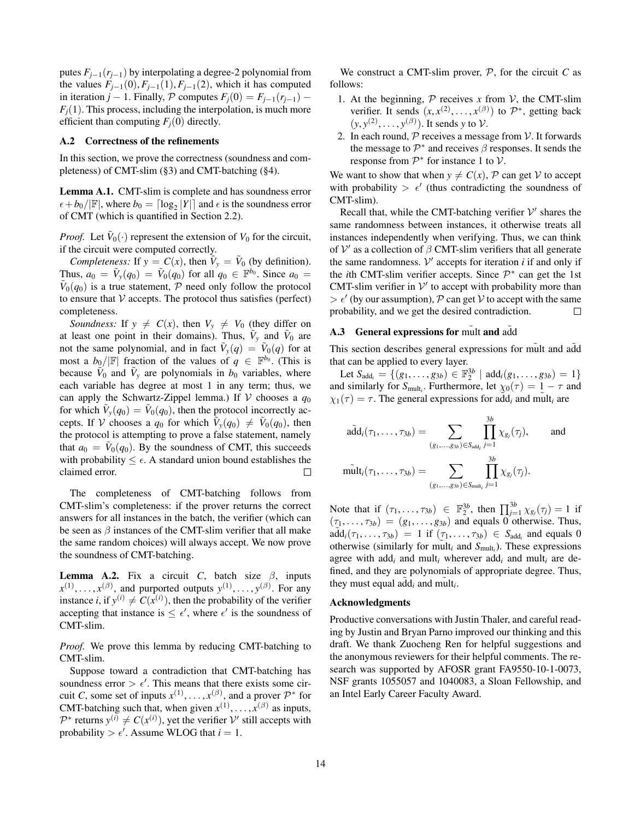putes  $F_{i-1}(r_{i-1})$  by interpolating a degree-2 polynomial from the values  $F_{j-1}(0), F_{j-1}(1), F_{j-1}(2)$ , which it has computed in iteration *j* − 1. Finally,  $P$  computes  $F_i(0) = F_{i-1}(r_{i-1})$  −  $F_i(1)$ . This process, including the interpolation, is much more efficient than computing  $F_i(0)$  directly.

### <span id="page-13-0"></span>A.2 Correctness of the refinements

In this section, we prove the correctness (soundness and completeness) of CMT-slim ([§3\)](#page-5-0) and CMT-batching ([§4\)](#page-5-1).

Lemma A.1. CMT-slim is complete and has soundness error  $\epsilon + b_0/|\mathbb{F}|$ , where  $b_0 = \lceil \log_2 |Y| \rceil$  and  $\epsilon$  is the soundness error of CMT (which is quantified in Section [2.2\)](#page-2-0).

*Proof.* Let  $\tilde{V}_0(\cdot)$  represent the extension of  $V_0$  for the circuit, if the circuit were computed correctly.

*Completeness:* If  $y = C(x)$ , then  $V_y = V_0$  (by definition). Thus,  $a_0 = \tilde{V}_y(q_0) = \tilde{V}_0(q_0)$  for all  $q_0 \in \mathbb{F}^{b_0}$ . Since  $a_0 =$  $\tilde{V}_0(q_0)$  is a true statement,  $\tilde{P}$  need only follow the protocol to ensure that  $V$  accepts. The protocol thus satisfies (perfect) completeness.

*Soundness:* If  $y \neq C(x)$ , then  $V_y \neq V_0$  (they differ on at least one point in their domains). Thus,  $\tilde{V}_y$  and  $\tilde{V}_0$  are not the same polynomial, and in fact  $\tilde{V}_y(q) = \tilde{V}_0(q)$  for at most a  $b_0/|\mathbb{F}|$  fraction of the values of  $q \in \mathbb{F}^{b_0}$ . (This is because  $V_0$  and  $V_y$  are polynomials in  $b_0$  variables, where each variable has degree at most 1 in any term; thus, we can apply the Schwartz-Zippel lemma.) If  $V$  chooses a  $q_0$ for which  $\tilde{V}_y(q_0) = \tilde{V}_0(q_0)$ , then the protocol incorrectly accepts. If V chooses a  $q_0$  for which  $\tilde{V}_y(q_0) \neq \tilde{V}_0(q_0)$ , then the protocol is attempting to prove a false statement, namely that  $a_0 = \tilde{V}_0(q_0)$ . By the soundness of CMT, this succeeds with probability  $\leq \epsilon$ . A standard union bound establishes the claimed error.  $\Box$ 

The completeness of CMT-batching follows from CMT-slim's completeness: if the prover returns the correct answers for all instances in the batch, the verifier (which can be seen as  $\beta$  instances of the CMT-slim verifier that all make the same random choices) will always accept. We now prove the soundness of CMT-batching.

**Lemma A.2.** Fix a circuit *C*, batch size  $\beta$ , inputs  $x^{(1)}, \ldots, x^{(\beta)}$ , and purported outputs  $y^{(1)}, \ldots, y^{(\beta)}$ . For any instance *i*, if  $y^{(i)} \neq C(x^{(i)})$ , then the probability of the verifier accepting that instance is  $\leq \epsilon'$ , where  $\epsilon'$  is the soundness of CMT-slim.

*Proof.* We prove this lemma by reducing CMT-batching to CMT-slim.

Suppose toward a contradiction that CMT-batching has soundness error  $> \epsilon'$ . This means that there exists some circuit *C*, some set of inputs  $x^{(1)}, \ldots, x^{(\beta)}$ , and a prover  $\mathcal{P}^*$  for CMT-batching such that, when given  $x^{(1)}, \ldots, x^{(\beta)}$  as inputs,  $\mathcal{P}^*$  returns  $y^{(i)} \neq C(x^{(i)})$ , yet the verifier  $\mathcal{V}'$  still accepts with probability  $> \epsilon'$ . Assume WLOG that  $i = 1$ .

We construct a CMT-slim prover,  $P$ , for the circuit  $C$  as follows:

- 1. At the beginning,  $P$  receives  $x$  from  $V$ , the CMT-slim verifier. It sends  $(x, x^{(2)}, \dots, x^{(\beta)})$  to  $\mathcal{P}^*$ , getting back  $(y, y^{(2)}, \ldots, y^{(\beta)})$ . It sends *y* to *V*.
- 2. In each round,  $P$  receives a message from  $V$ . It forwards the message to  $\mathcal{P}^*$  and receives  $\beta$  responses. It sends the response from  $\mathcal{P}^*$  for instance 1 to  $\mathcal{V}$ .

We want to show that when  $y \neq C(x)$ , P can get V to accept with probability  $> \epsilon'$  (thus contradicting the soundness of CMT-slim).

Recall that, while the CMT-batching verifier  $V'$  shares the same randomness between instances, it otherwise treats all instances independently when verifying. Thus, we can think of  $V'$  as a collection of  $\beta$  CMT-slim verifiers that all generate the same randomness.  $V'$  accepts for iteration  $i$  if and only if the *i*th CMT-slim verifier accepts. Since  $\mathcal{P}^*$  can get the 1st CMT-slim verifier in  $V'$  to accept with probability more than  $> \epsilon'$  (by our assumption), P can get V to accept with the same probability, and we get the desired contradiction.  $\Box$ 

#### A.3 General expressions for mult and add

This section describes general expressions for mult and add that can be applied to every layer.

Let  $S_{\text{add}_i} = \{(g_1, \ldots, g_{3b}) \in \mathbb{F}_2^{3b} \mid \text{add}_i(g_1, \ldots, g_{3b}) = 1\}$ and similarly for  $S_{\text{mult}_i}$ . Furthermore, let  $\chi_0(\tau) = 1 - \tau$  and  $\chi_1(\tau) = \tau$ . The general expressions for add<sub>*i*</sub> and mult<sub>*i*</sub> are

$$
\tilde{\text{add}}_i(\tau_1,\ldots,\tau_{3b}) = \sum_{(g_1,\ldots,g_{3b}) \in S_{\text{add}_i}} \prod_{j=1}^{3b} \chi_{g_j}(\tau_j), \quad \text{and}
$$

$$
\tilde{\text{mult}}_i(\tau_1,\ldots,\tau_{3b}) = \sum_{(g_1,\ldots,g_{3b}) \in S_{\text{mult}_i}} \prod_{j=1}^{3b} \chi_{g_j}(\tau_j).
$$

Note that if  $(\tau_1, ..., \tau_{3b}) \in \mathbb{F}_2^{3b}$ , then  $\prod_{j=1}^{3b} \chi_{g_j}(\tau_j) = 1$  if  $(\tau_1, \ldots, \tau_{3b}) = (g_1, \ldots, g_{3b})$  and equals 0 otherwise. Thus,  $\hat{\text{add}}_i(\tau_1, \ldots, \tau_{3b}) = 1$  if  $(\tau_1, \ldots, \tau_{3b}) \in S_{\text{add}_i}$  and equals 0 otherwise (similarly for mult<sub>*i*</sub> and  $S_{\text{mult}_i}$ ). These expressions agree with add*<sup>i</sup>* and mult*<sup>i</sup>* wherever add*<sup>i</sup>* and mult*<sup>i</sup>* are defined, and they are polynomials of appropriate degree. Thus, they must equal  $\tilde{\text{add}}_i$  and  $\tilde{\text{mult}}_i$ .

#### Acknowledgments

Productive conversations with Justin Thaler, and careful reading by Justin and Bryan Parno improved our thinking and this draft. We thank Zuocheng Ren for helpful suggestions and the anonymous reviewers for their helpful comments. The research was supported by AFOSR grant FA9550-10-1-0073, NSF grants 1055057 and 1040083, a Sloan Fellowship, and an Intel Early Career Faculty Award.